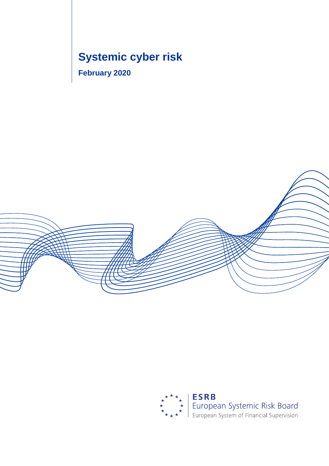# **Systemic cyber risk**

**February 2020**



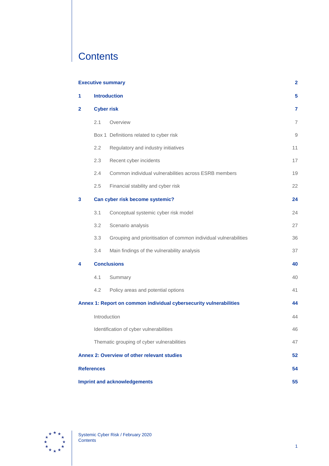# **Contents**

|                         | <b>Executive summary</b><br>$\mathbf 2$   |                                                                    |                |
|-------------------------|-------------------------------------------|--------------------------------------------------------------------|----------------|
| 1                       | <b>Introduction</b>                       |                                                                    | 5              |
| $\mathbf{2}$            |                                           | <b>Cyber risk</b>                                                  |                |
|                         | 2.1                                       | Overview                                                           | $\overline{7}$ |
|                         |                                           | Box 1 Definitions related to cyber risk                            | 9              |
|                         | 2.2                                       | Regulatory and industry initiatives                                | 11             |
|                         | 2.3                                       | Recent cyber incidents                                             | 17             |
|                         | 2.4                                       | Common individual vulnerabilities across ESRB members              | 19             |
|                         | 2.5                                       | Financial stability and cyber risk                                 | 22             |
| 3                       |                                           | Can cyber risk become systemic?                                    |                |
|                         | 3.1                                       | Conceptual systemic cyber risk model                               | 24             |
|                         | 3.2                                       | Scenario analysis                                                  | 27             |
|                         | 3.3                                       | Grouping and prioritisation of common individual vulnerabilities   | 36             |
|                         | 3.4                                       | Main findings of the vulnerability analysis                        | 37             |
| <b>Conclusions</b><br>4 |                                           |                                                                    | 40             |
|                         | 4.1                                       | Summary                                                            | 40             |
|                         | 4.2                                       | Policy areas and potential options                                 | 41             |
|                         |                                           | Annex 1: Report on common individual cybersecurity vulnerabilities | 44             |
|                         | Introduction                              |                                                                    | 44             |
|                         |                                           | Identification of cyber vulnerabilities                            | 46             |
|                         |                                           | Thematic grouping of cyber vulnerabilities                         | 47             |
|                         |                                           | Annex 2: Overview of other relevant studies                        | 52             |
| <b>References</b>       |                                           |                                                                    | 54             |
|                         | <b>Imprint and acknowledgements</b><br>55 |                                                                    |                |

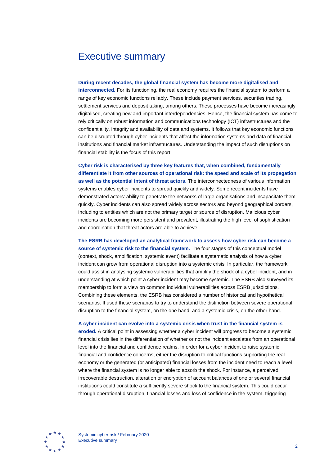## <span id="page-2-0"></span>Executive summary

#### **During recent decades, the global financial system has become more digitalised and**

**interconnected.** For its functioning, the real economy requires the financial system to perform a range of key economic functions reliably. These include payment services, securities trading, settlement services and deposit taking, among others. These processes have become increasingly digitalised, creating new and important interdependencies. Hence, the financial system has come to rely critically on robust information and communications technology (ICT) infrastructures and the confidentiality, integrity and availability of data and systems. It follows that key economic functions can be disrupted through cyber incidents that affect the information systems and data of financial institutions and financial market infrastructures. Understanding the impact of such disruptions on financial stability is the focus of this report.

**Cyber risk is characterised by three key features that, when combined, fundamentally differentiate it from other sources of operational risk: the speed and scale of its propagation as well as the potential intent of threat actors.** The interconnectedness of various information systems enables cyber incidents to spread quickly and widely. Some recent incidents have demonstrated actors' ability to penetrate the networks of large organisations and incapacitate them quickly. Cyber incidents can also spread widely across sectors and beyond geographical borders, including to entities which are not the primary target or source of disruption. Malicious cyber incidents are becoming more persistent and prevalent, illustrating the high level of sophistication and coordination that threat actors are able to achieve.

**The ESRB has developed an analytical framework to assess how cyber risk can become a source of systemic risk to the financial system.** The four stages of this conceptual model (context, shock, amplification, systemic event) facilitate a systematic analysis of how a cyber incident can grow from operational disruption into a systemic crisis. In particular, the framework could assist in analysing systemic vulnerabilities that amplify the shock of a cyber incident, and in understanding at which point a cyber incident may become systemic. The ESRB also surveyed its membership to form a view on common individual vulnerabilities across ESRB jurisdictions. Combining these elements, the ESRB has considered a number of historical and hypothetical scenarios. It used these scenarios to try to understand the distinction between severe operational disruption to the financial system, on the one hand, and a systemic crisis, on the other hand.

#### **A cyber incident can evolve into a systemic crisis when trust in the financial system is**

**eroded.** A critical point in assessing whether a cyber incident will progress to become a systemic financial crisis lies in the differentiation of whether or not the incident escalates from an operational level into the financial and confidence realms. In order for a cyber incident to raise systemic financial and confidence concerns, either the disruption to critical functions supporting the real economy or the generated (or anticipated) financial losses from the incident need to reach a level where the financial system is no longer able to absorb the shock. For instance, a perceived irrecoverable destruction, alteration or encryption of account balances of one or several financial institutions could constitute a sufficiently severe shock to the financial system. This could occur through operational disruption, financial losses and loss of confidence in the system, triggering

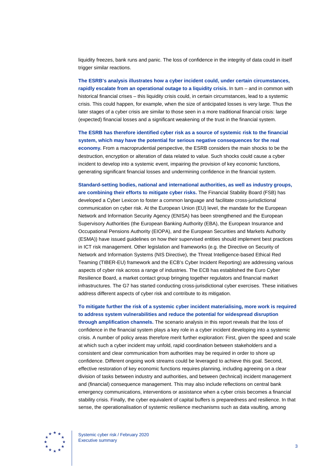liquidity freezes, bank runs and panic. The loss of confidence in the integrity of data could in itself trigger similar reactions.

**The ESRB's analysis illustrates how a cyber incident could, under certain circumstances, rapidly escalate from an operational outage to a liquidity crisis.** In turn – and in common with historical financial crises – this liquidity crisis could, in certain circumstances, lead to a systemic crisis. This could happen, for example, when the size of anticipated losses is very large. Thus the later stages of a cyber crisis are similar to those seen in a more traditional financial crisis: large (expected) financial losses and a significant weakening of the trust in the financial system.

**The ESRB has therefore identified cyber risk as a source of systemic risk to the financial system, which may have the potential for serious negative consequences for the real economy.** From a macroprudential perspective, the ESRB considers the main shocks to be the destruction, encryption or alteration of data related to value. Such shocks could cause a cyber incident to develop into a systemic event, impairing the provision of key economic functions, generating significant financial losses and undermining confidence in the financial system.

**Standard-setting bodies, national and international authorities, as well as industry groups, are combining their efforts to mitigate cyber risks.** The Financial Stability Board (FSB) has developed a Cyber Lexicon to foster a common language and facilitate cross-jurisdictional communication on cyber risk. At the European Union (EU) level, the mandate for the European Network and Information Security Agency (ENISA) has been strengthened and the European Supervisory Authorities (the European Banking Authority (EBA), the European Insurance and Occupational Pensions Authority (EIOPA), and the European Securities and Markets Authority (ESMA)) have issued guidelines on how their supervised entities should implement best practices in ICT risk management. Other legislation and frameworks (e.g. the Directive on Security of Network and Information Systems (NIS Directive), the Threat Intelligence-based Ethical Red Teaming (TIBER-EU) framework and the ECB's Cyber Incident Reporting) are addressing various aspects of cyber risk across a range of industries. The ECB has established the Euro Cyber Resilience Board, a market contact group bringing together regulators and financial market infrastructures. The G7 has started conducting cross-jurisdictional cyber exercises. These initiatives address different aspects of cyber risk and contribute to its mitigation.

**To mitigate further the risk of a systemic cyber incident materialising, more work is required to address system vulnerabilities and reduce the potential for widespread disruption through amplification channels.** The scenario analysis in this report reveals that the loss of confidence in the financial system plays a key role in a cyber incident developing into a systemic crisis. A number of policy areas therefore merit further exploration: First, given the speed and scale at which such a cyber incident may unfold, rapid coordination between stakeholders and a consistent and clear communication from authorities may be required in order to shore up confidence. Different ongoing work streams could be leveraged to achieve this goal. Second, effective restoration of key economic functions requires planning, including agreeing on a clear division of tasks between industry and authorities, and between (technical) incident management and (financial) consequence management. This may also include reflections on central bank emergency communications, interventions or assistance when a cyber crisis becomes a financial stability crisis. Finally, the cyber equivalent of capital buffers is preparedness and resilience. In that sense, the operationalisation of systemic resilience mechanisms such as data vaulting, among

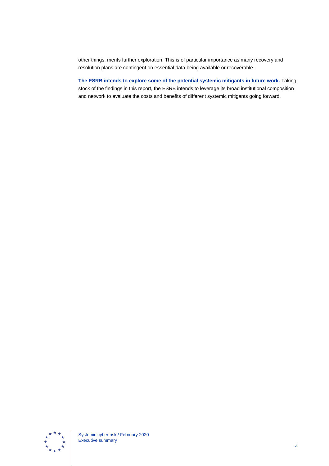other things, merits further exploration. This is of particular importance as many recovery and resolution plans are contingent on essential data being available or recoverable.

<span id="page-4-0"></span>**The ESRB intends to explore some of the potential systemic mitigants in future work.** Taking stock of the findings in this report, the ESRB intends to leverage its broad institutional composition and network to evaluate the costs and benefits of different systemic mitigants going forward.

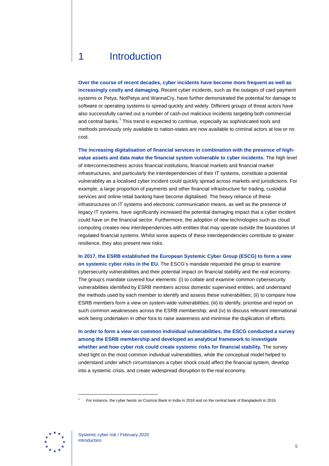## 1 Introduction

**Over the course of recent decades, cyber incidents have become more frequent as well as increasingly costly and damaging.** Recent cyber incidents, such as the outages of card payment systems or Petya, NotPetya and WannaCry, have further demonstrated the potential for damage to software or operating systems to spread quickly and widely. Different groups of threat actors have also successfully carried out a number of cash-out malicious incidents targeting both commercial and central banks.<sup>[1](#page-5-0)</sup> This trend is expected to continue, especially as sophisticated tools and methods previously only available to nation-states are now available to criminal actors at low or no cost.

**The increasing digitalisation of financial services in combination with the presence of highvalue assets and data make the financial system vulnerable to cyber incidents.** The high level of interconnectedness across financial institutions, financial markets and financial market infrastructures, and particularly the interdependencies of their IT systems, constitute a potential vulnerability as a localised cyber incident could quickly spread across markets and jurisdictions. For example, a large proportion of payments and other financial infrastructure for trading, custodial services and online retail banking have become digitalised. The heavy reliance of these infrastructures on IT systems and electronic communication means, as well as the presence of legacy IT systems, have significantly increased the potential damaging impact that a cyber incident could have on the financial sector. Furthermore, the adoption of new technologies such as cloud computing creates new interdependencies with entities that may operate outside the boundaries of regulated financial systems. Whilst some aspects of these interdependencies contribute to greater resilience, they also present new risks.

**In 2017, the ESRB established the European Systemic Cyber Group (ESCG) to form a view on systemic cyber risks in the EU.** The ESCG's mandate requested the group to examine cybersecurity vulnerabilities and their potential impact on financial stability and the real economy. The group's mandate covered four elements: (i) to collate and examine common cybersecurity vulnerabilities identified by ESRB members across domestic supervised entities, and understand the methods used by each member to identify and assess these vulnerabilities; (ii) to compare how ESRB members form a view on system-wide vulnerabilities; (iii) to identify, prioritise and report on such common weaknesses across the ESRB membership; and (iv) to discuss relevant international work being undertaken in other fora to raise awareness and minimise the duplication of efforts.

**In order to form a view on common individual vulnerabilities, the ESCG conducted a survey among the ESRB membership and developed an analytical framework to investigate whether and how cyber risk could create systemic risks for financial stability.** The survey shed light on the most common individual vulnerabilities, while the conceptual model helped to understand under which circumstances a cyber shock could affect the financial system, develop into a systemic crisis, and create widespread disruption to the real economy.

<span id="page-5-0"></span>

<sup>1</sup> For instance, the cyber heists on Cosmos Bank in India in 2018 and on the central bank of Bangladesh in 2016.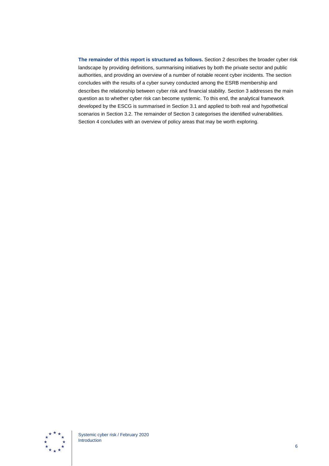<span id="page-6-0"></span>**The remainder of this report is structured as follows.** Section 2 describes the broader cyber risk landscape by providing definitions, summarising initiatives by both the private sector and public authorities, and providing an overview of a number of notable recent cyber incidents. The section concludes with the results of a cyber survey conducted among the ESRB membership and describes the relationship between cyber risk and financial stability. Section 3 addresses the main question as to whether cyber risk can become systemic. To this end, the analytical framework developed by the ESCG is summarised in Section 3.1 and applied to both real and hypothetical scenarios in Section 3.2. The remainder of Section 3 categorises the identified vulnerabilities. Section 4 concludes with an overview of policy areas that may be worth exploring.

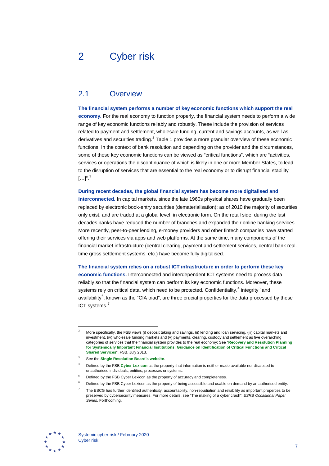## 2 Cyber risk

### <span id="page-7-0"></span>2.1 Overview

**The financial system performs a number of key economic functions which support the real economy.** For the real economy to function properly, the financial system needs to perform a wide range of key economic functions reliably and robustly. These include the provision of services related to payment and settlement, wholesale funding, current and savings accounts, as well as derivatives and securities trading. $2$  Table 1 provides a more granular overview of these economic functions. In the context of bank resolution and depending on the provider and the circumstances, some of these key economic functions can be viewed as "critical functions", which are "activities, services or operations the discontinuance of which is likely in one or more Member States, to lead to the disruption of services that are essential to the real economy or to disrupt financial stability  $[\ldots]^{n}$ . $^{3}$  $^{3}$  $^{3}$ 

**During recent decades, the global financial system has become more digitalised and interconnected.** In capital markets, since the late 1960s physical shares have gradually been replaced by electronic book-entry securities (dematerialisation); as of 2010 the majority of securities only exist, and are traded at a global level, in electronic form. On the retail side, during the last decades banks have reduced the number of branches and expanded their online banking services. More recently, peer-to-peer lending, e-money providers and other fintech companies have started offering their services via apps and web platforms. At the same time, many components of the financial market infrastructure (central clearing, payment and settlement services, central bank realtime gross settlement systems, etc.) have become fully digitalised.

**The financial system relies on a robust ICT infrastructure in order to perform these key economic functions.** Interconnected and interdependent ICT systems need to process data reliably so that the financial system can perform its key economic functions. Moreover, these systems rely on critical data, which need to be protected. Confidentiality, $4$  integrity<sup>[5](#page-7-4)</sup> and availability<sup>[6](#page-7-5)</sup>, known as the "CIA triad", are three crucial properties for the data processed by these ICT systems.<sup>[7](#page-7-6)</sup>

<span id="page-7-6"></span><span id="page-7-5"></span><span id="page-7-4"></span><span id="page-7-3"></span>

<span id="page-7-1"></span><sup>2</sup> More specifically, the FSB views (i) deposit taking and savings, (ii) lending and loan servicing, (iii) capital markets and investment, (iv) wholesale funding markets and (v) payments, clearing, custody and settlement as five overarching categories of services that the financial system provides to the real economy: See "**[Recovery and Resolution Planning](https://www.fsb.org/wp-content/uploads/r_130716a.pdf)  [for Systemically Important Financial Institutions: Guidance on Identification of Critical Functions and Critical](https://www.fsb.org/wp-content/uploads/r_130716a.pdf)  [Shared Services](https://www.fsb.org/wp-content/uploads/r_130716a.pdf)**", FSB, July 2013.

<span id="page-7-2"></span><sup>3</sup> See the **[Single Resolution Board's website](https://srb.europa.eu/en/content/critical-functions)**.

<sup>4</sup> Defined by the FSB **[Cyber Lexicon](https://www.fsb.org/2018/11/cyber-lexicon/)** as the property that information is neither made available nor disclosed to unauthorised individuals, entities, processes or systems.

Defined by the FSB Cyber Lexicon as the property of accuracy and completeness.

<sup>6</sup> Defined by the FSB Cyber Lexicon as the property of being accessible and usable on demand by an authorised entity.

<sup>7</sup> The ESCG has further identified authenticity, accountability, non-repudiation and reliability as important properties to be preserved by cybersecurity measures. For more details, see "The making of a cyber crash", *ESRB Occasional Paper Series*, Forthcoming.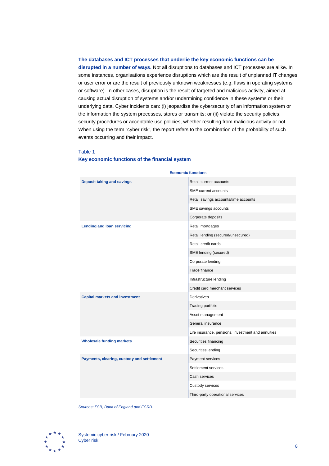#### **The databases and ICT processes that underlie the key economic functions can be**

**disrupted in a number of ways.** Not all disruptions to databases and ICT processes are alike. In some instances, organisations experience disruptions which are the result of unplanned IT changes or user error or are the result of previously unknown weaknesses (e.g. flaws in operating systems or software). In other cases, disruption is the result of targeted and malicious activity, aimed at causing actual disruption of systems and/or undermining confidence in these systems or their underlying data. Cyber incidents can: (i) jeopardise the cybersecurity of an information system or the information the system processes, stores or transmits; or (ii) violate the security policies, security procedures or acceptable use policies, whether resulting from malicious activity or not. When using the term "cyber risk", the report refers to the combination of the probability of such events occurring and their impact.

#### Table 1

#### **Key economic functions of the financial system**

| <b>Economic functions</b>                  |                                                    |  |
|--------------------------------------------|----------------------------------------------------|--|
| <b>Deposit taking and savings</b>          | Retail current accounts                            |  |
|                                            | SME current accounts                               |  |
|                                            | Retail savings accounts/time accounts              |  |
|                                            | SME savings accounts                               |  |
|                                            | Corporate deposits                                 |  |
| <b>Lending and loan servicing</b>          | Retail mortgages                                   |  |
|                                            | Retail lending (secured/unsecured)                 |  |
|                                            | Retail credit cards                                |  |
|                                            | SME lending (secured)                              |  |
|                                            | Corporate lending                                  |  |
|                                            | Trade finance                                      |  |
|                                            | Infrastructure lending                             |  |
|                                            | Credit card merchant services                      |  |
| <b>Capital markets and investment</b>      | <b>Derivatives</b>                                 |  |
|                                            | Trading portfolio                                  |  |
|                                            | Asset management                                   |  |
|                                            | General insurance                                  |  |
|                                            | Life insurance, pensions, investment and annuities |  |
| <b>Wholesale funding markets</b>           | Securities financing                               |  |
|                                            | Securities lending                                 |  |
| Payments, clearing, custody and settlement | Payment services                                   |  |
|                                            | Settlement services                                |  |
|                                            | Cash services                                      |  |
|                                            | Custody services                                   |  |
|                                            | Third-party operational services                   |  |

*Sources: FSB, Bank of England and ESRB.*

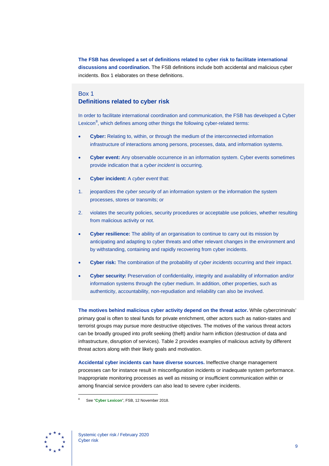**The FSB has developed a set of definitions related to cyber risk to facilitate international discussions and coordination.** The FSB definitions include both accidental and malicious cyber incidents. Box 1 elaborates on these definitions.

### <span id="page-9-0"></span>Box 1 **Definitions related to cyber risk**

In order to facilitate international coordination and communication, the FSB has developed a Cyber Lexicon<sup>[8](#page-9-1)</sup>, which defines among other things the following cyber-related terms:

- **Cyber:** Relating to, within, or through the medium of the interconnected information infrastructure of interactions among persons, processes, data, and information systems.
- **Cyber event:** Any observable occurrence in an information system. Cyber events sometimes provide indication that a *cyber incident* is occurring.
- **Cyber incident:** A *cyber event* that:
- 1. jeopardizes the *cyber security* of an information system or the information the system processes, stores or transmits; or
- 2. violates the security policies, security procedures or acceptable use policies, whether resulting from malicious activity or not.
- **Cyber resilience:** The ability of an organisation to continue to carry out its mission by anticipating and adapting to cyber threats and other relevant changes in the environment and by withstanding, containing and rapidly recovering from cyber incidents.
- **Cyber risk:** The combination of the probability of *cyber incidents* occurring and their impact.
- **Cyber security:** Preservation of confidentiality, integrity and availability of information and/or information systems through the cyber medium. In addition, other properties, such as authenticity, accountability, non-repudiation and reliability can also be involved.

**The motives behind malicious cyber activity depend on the threat actor.** While cybercriminals' primary goal is often to steal funds for private enrichment, other actors such as nation-states and terrorist groups may pursue more destructive objectives. The motives of the various threat actors can be broadly grouped into profit seeking (theft) and/or harm infliction (destruction of data and infrastructure, disruption of services). Table 2 provides examples of malicious activity by different threat actors along with their likely goals and motivation.

**Accidental cyber incidents can have diverse sources.** Ineffective change management processes can for instance result in misconfiguration incidents or inadequate system performance. Inappropriate monitoring processes as well as missing or insufficient communication within or among financial service providers can also lead to severe cyber incidents.

<span id="page-9-1"></span>

<sup>8</sup> See "**[Cyber Lexicon](https://www.fsb.org/wp-content/uploads/P121118-1.pdf)**", FSB, 12 November 2018.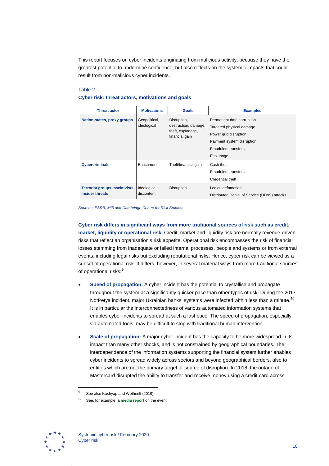This report focuses on cyber incidents originating from malicious activity, because they have the greatest potential to undermine confidence, but also reflects on the systemic impacts that could result from non-malicious cyber incidents.

#### Table 2

#### **Cyber risk: threat actors, motivations and goals**

| <b>Threat actor</b>                               | <b>Motivations</b>           | <b>Goals</b>                                                               | <b>Examples</b>                                                                                                                                         |
|---------------------------------------------------|------------------------------|----------------------------------------------------------------------------|---------------------------------------------------------------------------------------------------------------------------------------------------------|
| Nation-states, proxy groups                       | Geopolitical,<br>ideological | Disruption,<br>destruction, damage,<br>theft, espionage,<br>financial gain | Permanent data corruption<br>Targeted physical damage<br>Power grid disruption<br>Payment system disruption<br><b>Fraudulent transfers</b><br>Espionage |
| <b>Cybercriminals</b>                             | Enrichment                   | Theft/financial gain                                                       | Cash theft<br>Fraudulent transfers<br>Credential theft                                                                                                  |
| Terrorist groups, hacktivists,<br>insider threats | Ideological,<br>discontent   | Disruption                                                                 | Leaks, defamation<br>Distributed Denial of Service (DDoS) attacks                                                                                       |

*Sources: ESRB, MI5 and Cambridge Centre for Risk Studies.*

**Cyber risk differs in significant ways from more traditional sources of risk such as credit, market, liquidity or operational risk.** Credit, market and liquidity risk are normally revenue-driven risks that reflect an organisation's risk appetite. Operational risk encompasses the risk of financial losses stemming from inadequate or failed internal processes, people and systems or from external events, including legal risks but excluding reputational risks. Hence, cyber risk can be viewed as a subset of operational risk. It differs, however, in several material ways from more traditional sources of operational risks:<sup>[9](#page-10-0)</sup>

- **Speed of propagation:** A cyber incident has the potential to crystallise and propagate throughout the system at a significantly quicker pace than other types of risk. During the 2017 NotPetya incident, major Ukrainian banks' systems were infected within less than a minute.<sup>[10](#page-10-1)</sup> It is in particular the interconnectedness of various automated information systems that enables cyber incidents to spread at such a fast pace. The speed of propagation, especially via automated tools, may be difficult to stop with traditional human intervention.
- **Scale of propagation:** A major cyber incident has the capacity to be more widespread in its impact than many other shocks, and is not constrained by geographical boundaries. The interdependence of the information systems supporting the financial system further enables cyber incidents to spread widely across sectors and beyond geographical borders, also to entities which are not the primary target or source of disruption. In 2018, the outage of Mastercard disrupted the ability to transfer and receive money using a credit card across

<span id="page-10-1"></span><span id="page-10-0"></span>

See also Kashyap and Wetherilt (2019).

See, for example, a **[media report](https://www.wired.com/story/notpetya-cyberattack-ukraine-russia-code-crashed-the-world/)** on the event.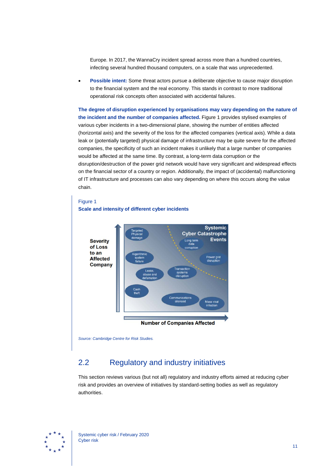Europe. In 2017, the WannaCry incident spread across more than a hundred countries, infecting several hundred thousand computers, on a scale that was unprecedented.

• **Possible intent:** Some threat actors pursue a deliberate objective to cause major disruption to the financial system and the real economy. This stands in contrast to more traditional operational risk concepts often associated with accidental failures.

**The degree of disruption experienced by organisations may vary depending on the nature of the incident and the number of companies affected.** Figure 1 provides stylised examples of various cyber incidents in a two-dimensional plane, showing the number of entities affected (horizontal axis) and the severity of the loss for the affected companies (vertical axis). While a data leak or (potentially targeted) physical damage of infrastructure may be quite severe for the affected companies, the specificity of such an incident makes it unlikely that a large number of companies would be affected at the same time. By contrast, a long-term data corruption or the disruption/destruction of the power grid network would have very significant and widespread effects on the financial sector of a country or region. Additionally, the impact of (accidental) malfunctioning of IT infrastructure and processes can also vary depending on where this occurs along the value chain.

#### Figure 1 **Scale and intensity of different cyber incidents**



*Source: Cambridge Centre for Risk Studies.*

## <span id="page-11-0"></span>2.2 Regulatory and industry initiatives

This section reviews various (but not all) regulatory and industry efforts aimed at reducing cyber risk and provides an overview of initiatives by standard-setting bodies as well as regulatory authorities.

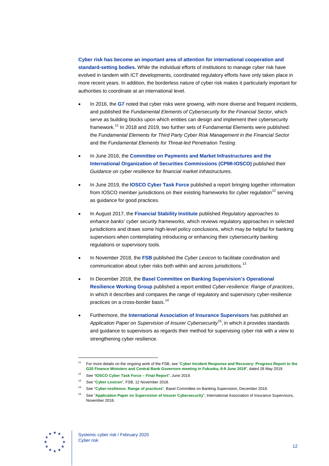**Cyber risk has become an important area of attention for international cooperation and standard-setting bodies.** While the individual efforts of institutions to manage cyber risk have evolved in tandem with ICT developments, coordinated regulatory efforts have only taken place in more recent years. In addition, the borderless nature of cyber risk makes it particularly important for authorities to coordinate at an international level.

- In 2016, the **G7** noted that cyber risks were growing, with more diverse and frequent incidents, and published the *Fundamental Elements of Cybersecurity for the Financial Sector*, which serve as building blocks upon which entities can design and implement their cybersecurity framework.<sup>[11](#page-12-0)</sup> In 2018 and 2019, two further sets of Fundamental Elements were published: the *Fundamental Elements for Third Party Cyber Risk Management in the Financial Sector* and the *Fundamental Elements for Threat-led Penetration Testing*.
- In June 2016, the **Committee on Payments and Market Infrastructures and the International Organization of Securities Commissions (CPMI-IOSCO)** published their *Guidance on cyber resilience for financial market infrastructures*.
- In June 2019, the **IOSCO Cyber Task Force** published a report bringing together information from IOSCO member jurisdictions on their existing frameworks for cyber regulation<sup>[12](#page-12-1)</sup> serving as guidance for good practices.
- In August 2017, the **Financial Stability Institute** published *Regulatory approaches to enhance banks' cyber security frameworks*, which reviews regulatory approaches in selected jurisdictions and draws some high-level policy conclusions, which may be helpful for banking supervisors when contemplating introducing or enhancing their cybersecurity banking regulations or supervisory tools.
- In November 2018, the **FSB** published the *Cyber Lexicon* to facilitate coordination and communication about cyber risks both within and across jurisdictions.<sup>[13](#page-12-2)</sup>
- In December 2018, the **Basel Committee on Banking Supervision's Operational Resilience Working Group** published a report entitled *Cyber-resilience: Range of practices*, in which it describes and compares the range of regulatory and supervisory cyber-resilience practices on a cross-border basis. [14](#page-12-3)
- Furthermore, the **International Association of Insurance Supervisors** has published an *Application Paper on Supervision of Insurer Cybersecurity*[15,](#page-12-4) in which it provides standards and guidance to supervisors as regards their method for supervising cyber risk with a view to strengthening cyber resilience.

<span id="page-12-4"></span><span id="page-12-3"></span><span id="page-12-2"></span><span id="page-12-1"></span>

<span id="page-12-0"></span><sup>11</sup> For more details on the ongoing work of the FSB, see "**[Cyber Incident Response and Recovery: Progress Report to the](https://www.fsb.org/wp-content/uploads/P280519-1.pdf)  [G20 Finance Ministers and Central Bank Governors meeting in Fukuoka, 8-9](https://www.fsb.org/wp-content/uploads/P280519-1.pdf) June 2019**", dated 28 May 2019.

<sup>12</sup> See "**[IOSCO Cyber Task Force](https://www.iosco.org/library/pubdocs/pdf/IOSCOPD633.pdf) – Final Report**", June 2019.

<sup>13</sup> See "**[Cyber Lexicon](https://www.fsb.org/wp-content/uploads/P121118-1.pdf)**", FSB, 12 November 2018.

<sup>14</sup> See "**[Cyber-resilience: Range of practices](https://www.bis.org/bcbs/publ/d454.pdf)**", Basel Committee on Banking Supervision, December 2018.

<sup>15</sup> See "**[Application Paper on Supervision of Insurer Cybersecurity](https://www.iaisweb.org/page/supervisory-material/application-papers/file/77763/application-paper-on-supervision-of-insurer-cybersecurity)**", International Association of Insurance Supervisors, November 2018.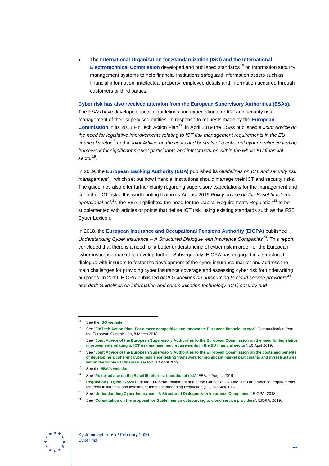• The **International Organization for Standardization (ISO) and the International Electrotechnical Commission** developed and published standards<sup>[16](#page-13-0)</sup> on information security management systems to help financial institutions safeguard information assets such as financial information, intellectual property, employee details and information acquired through customers or third parties.

**Cyber risk has also received attention from the European Supervisory Authorities (ESAs).** The ESAs have developed specific guidelines and expectations for ICT and security risk management of their supervised entities. In response to requests made by the **European Commission** in its 2018 FinTech Action Plan<sup>17</sup>, in April 2019 the ESAs published a *Joint Advice on the need for legislative improvements relating to ICT risk management requirements in the EU financial sector*[18](#page-13-2) and a *Joint Advice on the costs and benefits of a coherent cyber resilience testing framework for significant market participants and infrastructures within the whole EU financial sector*[19.](#page-13-3)

In 2019, the **European Banking Authority (EBA)** published its *Guidelines on ICT and security risk management*<sup>[20](#page-13-4)</sup>, which set out how financial institutions should manage their ICT and security risks. The guidelines also offer further clarity regarding supervisory expectations for the management and control of ICT risks. It is worth noting that in its August 2019 *Policy advice on the Basel III reforms: operational risk*<sup>[21](#page-13-5)</sup>, the EBA highlighted the need for the Capital Requirements Regulation<sup>[22](#page-13-6)</sup> to be supplemented with articles or points that define ICT risk, using existing standards such as the FSB Cyber Lexicon.

In 2018, the **European Insurance and Occupational Pensions Authority (EIOPA)** published *Understanding Cyber Insurance* – A *Structured Dialogue with Insurance Companies*<sup>23</sup>. This report concluded that there is a need for a better understanding of cyber risk in order for the European cyber insurance market to develop further. Subsequently, EIOPA has engaged in a structured dialogue with insurers to foster the development of the cyber insurance market and address the main challenges for providing cyber insurance coverage and assessing cyber risk for underwriting purposes. In 2019, EIOPA published *draft Guidelines on outsourcing to cloud service providers*<sup>[24](#page-13-8)</sup> and *draft Guidelines on information and communication technology (ICT) security and* 

<span id="page-13-8"></span><span id="page-13-7"></span><span id="page-13-6"></span><span id="page-13-5"></span><span id="page-13-4"></span>

<span id="page-13-0"></span><sup>16</sup> See the **[ISO website](https://www.iso.org/standard/73906.html)**.

<sup>17</sup> See "**[FinTech Action Plan: For a more competitive and innovative European financial sector](https://eur-lex.europa.eu/resource.html?uri=cellar:6793c578-22e6-11e8-ac73-01aa75ed71a1.0001.02/DOC_1&format=PDF)**", Communication from the European Commission, 8 March 2018.

<span id="page-13-3"></span><span id="page-13-2"></span><span id="page-13-1"></span><sup>18</sup> See "**[Joint Advice of the European Supervisory Authorities to the European Commission on the need for legislative](https://eba.europa.eu/sites/default/documents/files/documents/10180/2551996/4d2ad5e2-1570-48bd-819a-7cd9b4e8b157/JC%202019%2026%20(Joint%20ESAs%20Advice%20on%20ICT%20legislative%20improvements).pdf)  [improvements relating to ICT risk management requirements in the EU financial sector](https://eba.europa.eu/sites/default/documents/files/documents/10180/2551996/4d2ad5e2-1570-48bd-819a-7cd9b4e8b157/JC%202019%2026%20(Joint%20ESAs%20Advice%20on%20ICT%20legislative%20improvements).pdf)**", 10 April 2019.

<sup>19</sup> See "**[Joint Advice of the European Supervisory Authorities to the European Commission on the costs and benefits](https://eba.europa.eu/sites/default/documents/files/documents/10180/2551996/d229589f-a855-45f2-ad5a-411792792e60/JC%202019%2025%20(Joint%20ESAs%20Advice%20on%20a%20coherent%20cyber%20resilience%20testing%20framework).pdf)  [of developing a coherent cyber resilience testing framework for significant market participants and infrastructures](https://eba.europa.eu/sites/default/documents/files/documents/10180/2551996/d229589f-a855-45f2-ad5a-411792792e60/JC%202019%2025%20(Joint%20ESAs%20Advice%20on%20a%20coherent%20cyber%20resilience%20testing%20framework).pdf)  [within the whole EU financial sector](https://eba.europa.eu/sites/default/documents/files/documents/10180/2551996/d229589f-a855-45f2-ad5a-411792792e60/JC%202019%2025%20(Joint%20ESAs%20Advice%20on%20a%20coherent%20cyber%20resilience%20testing%20framework).pdf)**", 10 April 2019.

<sup>20</sup> See the **[EBA's website](https://eba.europa.eu/eba-publishes-guidelines-ict-and-security-risk-management)**.

<sup>21</sup> See "**Policy advice on the Basel [III reforms: operational risk](https://eba.europa.eu/sites/default/documents/files/documents/10180/2886865/5db69327-7d3f-4e6c-9ac9-fc54430781eb/Policy%20Advice%20on%20Basel%20III%20reforms%20-%20Operational%20Risk.pdf?retry=1)**", EBA, 2 August 2019.

<sup>22</sup> **[Regulation \(EU\) No](https://eur-lex.europa.eu/legal-content/EN/TXT/?uri=CELEX%3A32013R0575) 575/2013** of the European Parliament and of the Council of 26 June 2013 on prudential requirements for credit institutions and investment firms and amending Regulation (EU) No 648/2012.

<sup>23</sup> See "**Understanding Cyber Insurance – [A Structured Dialogue with Insurance Companies](https://www.eiopa.europa.eu/sites/default/files/publications/reports/eiopa_understanding_cyber_insurance.pdf)**", EIOPA, 2018.

<sup>24</sup> See "**[Consultation on the proposal for Guidelines on outsourcing to cloud service providers](https://www.eiopa.europa.eu/content/consultation-proposal-guidelines-outsourcing-cloud-service-providers_en)**", EIOPA, 2019.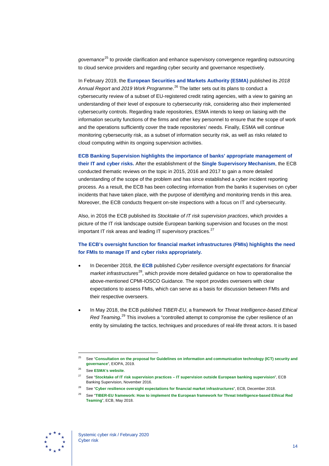*governance*[25](#page-14-0) to provide clarification and enhance supervisory convergence regarding outsourcing to cloud service providers and regarding cyber security and governance respectively.

In February 2019, the **European Securities and Markets Authority (ESMA)** published its *2018 Annual Report* and *2019 Work Programme*. [26](#page-14-1) The latter sets out its plans to conduct a cybersecurity review of a subset of EU-registered credit rating agencies, with a view to gaining an understanding of their level of exposure to cybersecurity risk, considering also their implemented cybersecurity controls. Regarding trade repositories, ESMA intends to keep on liaising with the information security functions of the firms and other key personnel to ensure that the scope of work and the operations sufficiently cover the trade repositories' needs. Finally, ESMA will continue monitoring cybersecurity risk, as a subset of information security risk, as well as risks related to cloud computing within its ongoing supervision activities.

**ECB Banking Supervision highlights the importance of banks' appropriate management of their IT and cyber risks.** After the establishment of the **Single Supervisory Mechanism**, the ECB conducted thematic reviews on the topic in 2015, 2016 and 2017 to gain a more detailed understanding of the scope of the problem and has since established a cyber incident reporting process. As a result, the ECB has been collecting information from the banks it supervises on cyber incidents that have taken place, with the purpose of identifying and monitoring trends in this area. Moreover, the ECB conducts frequent on-site inspections with a focus on IT and cybersecurity.

Also, in 2016 the ECB published its *Stocktake of IT risk supervision practices*, which provides a picture of the IT risk landscape outside European banking supervision and focuses on the most important IT risk areas and leading IT supervisory practices.<sup>[27](#page-14-2)</sup>

#### **The ECB's oversight function for financial market infrastructures (FMIs) highlights the need for FMIs to manage IT and cyber risks appropriately.**

- In December 2018, the **ECB** published *Cyber resilience oversight expectations for financial market infrastructures*<sup>[28](#page-14-3)</sup>, which provide more detailed guidance on how to operationalise the above-mentioned CPMI-IOSCO Guidance. The report provides overseers with clear expectations to assess FMIs, which can serve as a basis for discussion between FMIs and their respective overseers.
- In May 2018, the ECB published *TIBER-EU*, a framework for *Threat Intelligence-based Ethical*  Red Teaming.<sup>[29](#page-14-4)</sup> This involves a "controlled attempt to compromise the cyber resilience of an entity by simulating the tactics, techniques and procedures of real-life threat actors. It is based

<span id="page-14-4"></span><span id="page-14-3"></span><span id="page-14-2"></span><span id="page-14-1"></span>

<span id="page-14-0"></span><sup>25</sup> See "**[Consultation on the proposal for Guidelines on information and communication technology \(ICT\) security and](https://www.eiopa.europa.eu/content/consultation-proposal-guidelines-information-and-communication-technology-ict-security-and)  [governance](https://www.eiopa.europa.eu/content/consultation-proposal-guidelines-information-and-communication-technology-ict-security-and)**", EIOPA, 2019.

<sup>26</sup> See **[ESMA's website](https://www.esma.europa.eu/press-news/esma-news/esma-supervision-focus-data-brexit-and-cybersecurity-in-2019)**.

<sup>27</sup> See "**Stocktake of IT risk supervision practices – [IT supervision outside European banking supervision](https://www.bankingsupervision.europa.eu/ecb/pub/pdf/it_risk_stocktake201611.en.pdf)**", ECB Banking Supervision, November 2016.

<sup>28</sup> See "**[Cyber resilience oversight expectations for financial market infrastructures](https://www.ecb.europa.eu/paym/pdf/cons/cyberresilience/Cyber_resilience_oversight_expectations_for_financial_market_infrastructures.pdf)**", ECB, December 2018.

<sup>29</sup> See "**[TIBER-EU framework: How to implement the European framework for Threat Intelligence-based Ethical Red](https://www.ecb.europa.eu/pub/pdf/other/ecb.tiber_eu_framework.en.pdf)  [Teaming](https://www.ecb.europa.eu/pub/pdf/other/ecb.tiber_eu_framework.en.pdf)**", ECB, May 2018.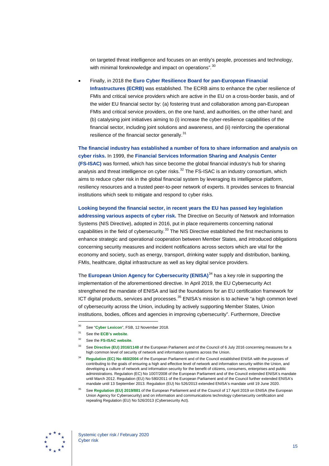on targeted threat intelligence and focuses on an entity's people, processes and technology, with minimal foreknowledge and impact on operations".<sup>[30](#page-15-0)</sup>

• Finally, in 2018 the **Euro Cyber Resilience Board for pan-European Financial Infrastructures (ECRB)** was established. The ECRB aims to enhance the cyber resilience of FMIs and critical service providers which are active in the EU on a cross-border basis, and of the wider EU financial sector by: (a) fostering trust and collaboration among pan-European FMIs and critical service providers, on the one hand, and authorities, on the other hand; and (b) catalysing joint initiatives aiming to (i) increase the cyber-resilience capabilities of the financial sector, including joint solutions and awareness, and (ii) reinforcing the operational resilience of the financial sector generally.<sup>[31](#page-15-1)</sup>

**The financial industry has established a number of fora to share information and analysis on cyber risks.** In 1999, the **Financial Services Information Sharing and Analysis Center (FS-ISAC)** was formed, which has since become the global financial industry's hub for sharing analysis and threat intelligence on cyber risks. $32$  The FS-ISAC is an industry consortium, which aims to reduce cyber risk in the global financial system by leveraging its intelligence platform, resiliency resources and a trusted peer-to-peer network of experts. It provides services to financial institutions which seek to mitigate and respond to cyber risks.

**Looking beyond the financial sector, in recent years the EU has passed key legislation addressing various aspects of cyber risk.** The Directive on Security of Network and Information Systems (NIS Directive), adopted in 2016, put in place requirements concerning national capabilities in the field of cybersecurity.<sup>[33](#page-15-3)</sup> The NIS Directive established the first mechanisms to enhance strategic and operational cooperation between Member States, and introduced obligations concerning security measures and incident notifications across sectors which are vital for the economy and society, such as energy, transport, drinking water supply and distribution, banking, FMIs, healthcare, digital infrastructure as well as key digital service providers.

The **European Union Agency for Cybersecurity (ENISA)**<sup>[34](#page-15-4)</sup> has a key role in supporting the implementation of the aforementioned directive. In April 2019, the EU Cybersecurity Act strengthened the mandate of ENISA and laid the foundations for an EU certification framework for ICT digital products, services and processes.<sup>[35](#page-15-5)</sup> ENISA's mission is to achieve "a high common level of cybersecurity across the Union, including by actively supporting Member States, Union institutions, bodies, offices and agencies in improving cybersecurity". Furthermore, Directive

<span id="page-15-5"></span>

<span id="page-15-0"></span>See "[Cyber Lexicon](https://www.fsb.org/wp-content/uploads/P121118-1.pdf)", FSB, 12 November 2018.

<span id="page-15-1"></span><sup>31</sup> See the **[ECB's website](https://www.ecb.europa.eu/paym/groups/euro-cyber-board/shared/pdf/ECRB_mandate.pdf)**.

<span id="page-15-2"></span><sup>32</sup> See the **[FS-ISAC website](https://www.fsisac.com/)**.

<span id="page-15-4"></span><span id="page-15-3"></span><sup>33</sup> See **[Directive \(EU\) 2016/1148](https://eur-lex.europa.eu/eli/dir/2016/1148/oj)** of the European Parliament and of the Council of 6 July 2016 concerning measures for a high common level of security of network and information systems across the Union.

<sup>34</sup> **[Regulation \(EC\) No](https://eur-lex.europa.eu/legal-content/EN/TXT/?uri=CELEX%3A32004R0460) 460/2004** of the European Parliament and of the Council established ENISA with the purposes of contributing to the goals of ensuring a high and effective level of network and information security within the Union, and developing a culture of network and information security for the benefit of citizens, consumers, enterprises and public administrations. Regulation (EC) No 1007/2008 of the European Parliament and of the Council extended ENISA's mandate until March 2012. Regulation (EU) No 580/2011 of the European Parliament and of the Council further extended ENISA's mandate until 13 September 2013. Regulation (EU) No 526/2013 extended ENISA's mandate until 19 June 2020.

See [Regulation \(EU\) 2019/881](https://eur-lex.europa.eu/eli/reg/2019/881/oj) of the European Parliament and of the Council of 17 April 2019 on ENISA (the European Union Agency for Cybersecurity) and on information and communications technology cybersecurity certification and repealing Regulation (EU) No 526/2013 (Cybersecurity Act).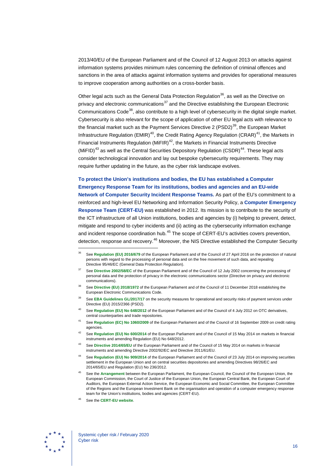2013/40/EU of the European Parliament and of the Council of 12 August 2013 on attacks against information systems provides minimum rules concerning the definition of criminal offences and sanctions in the area of attacks against information systems and provides for operational measures to improve cooperation among authorities on a cross-border basis.

Other legal acts such as the General Data Protection Regulation<sup>[36](#page-16-0)</sup>, as well as the Directive on privacy and electronic communications<sup>[37](#page-16-1)</sup> and the Directive establishing the European Electronic Communications Code<sup>[38](#page-16-2)</sup>, also contribute to a high level of cybersecurity in the digital single market. Cybersecurity is also relevant for the scope of application of other EU legal acts with relevance to the financial market such as the Payment Services Directive 2 (PSD2)<sup>39</sup>, the European Market Infrastructure Regulation (EMIR)<sup>[40](#page-16-4)</sup>, the Credit Rating Agency Regulation (CRAR)<sup>[41](#page-16-5)</sup>, the Markets in Financial Instruments Regulation (MiFIR)<sup>[42](#page-16-6)</sup>, the Markets in Financial Instruments Directive (MiFID)<sup>[43](#page-16-7)</sup> as well as the Central Securities Depository Regulation (CSDR)<sup>44</sup>. These legal acts consider technological innovation and lay out bespoke cybersecurity requirements. They may require further updating in the future, as the cyber risk landscape evolves.

**To protect the Union's institutions and bodies, the EU has established a Computer Emergency Response Team for its institutions, bodies and agencies and an EU-wide Network of Computer Security Incident Response Teams.** As part of the EU's commitment to a reinforced and high-level EU Networking and Information Security Policy, a **Computer Emergency Response Team (CERT-EU)** was established in 2012. Its mission is to contribute to the security of the ICT infrastructure of all Union institutions, bodies and agencies by (i) helping to prevent, detect, mitigate and respond to cyber incidents and (ii) acting as the cybersecurity information exchange and incident response coordination hub.<sup>[45](#page-16-9)</sup> The scope of CERT-EU's activities covers prevention, detection, response and recovery.<sup>[46](#page-16-10)</sup> Moreover, the NIS Directive established the Computer Security

- <span id="page-16-3"></span>See [EBA Guidelines GL/2017/17](https://eba.europa.eu/sites/default/documents/files/documents/10180/2081899/c63cfcbf-7412-4cfb-8e07-47a05d016417/Guidelines%20on%20the%20security%20measures%20under%20PSD2%20(EBA-GL-2017-17)_EN.pdf) on the security measures for operational and security risks of payment services under Directive (EU) 2015/2366 (PSD2).
- <span id="page-16-4"></span>See [Regulation \(EU\) No](https://eur-lex.europa.eu/legal-content/EN/TXT/?uri=CELEX%3A32012R0648) 648/2012 of the European Parliament and of the Council of 4 July 2012 on OTC derivatives, central counterparties and trade repositories.
- <span id="page-16-5"></span><sup>41</sup> See **[Regulation \(EC\) No](https://eur-lex.europa.eu/legal-content/EN/TXT/?uri=uriserv:OJ.L_.2009.302.01.0001.01.ENG) 1060/2009** of the European Parliament and of the Council of 16 September 2009 on credit rating agencies.
- <span id="page-16-6"></span><sup>42</sup> See **[Regulation \(EU\) No](https://eur-lex.europa.eu/legal-content/EN/TXT/?uri=CELEX%3A32014R0600) 600/2014** of the European Parliament and of the Council of 15 May 2014 on markets in financial instruments and amending Regulation (EU) No 648/2012.
- <span id="page-16-7"></span><sup>43</sup> See **[Directive 2014/65/EU](https://eur-lex.europa.eu/legal-content/EN/TXT/?uri=celex%3A32014L0065)** of the European Parliament and of the Council of 15 May 2014 on markets in financial instruments and amending Directive 2002/92/EC and Directive 2011/61/EU.
- <span id="page-16-8"></span><sup>44</sup> See **[Regulation \(EU\) No](https://eur-lex.europa.eu/legal-content/EN/TXT/?uri=CELEX%3A32014R0909) 909/2014** of the European Parliament and of the Council of 23 July 2014 on improving securities settlement in the European Union and on central securities depositories and amending Directives 98/26/EC and 2014/65/EU and Regulation (EU) No 236/2012.
- <sup>45</sup> See the **[Arrangement](https://eur-lex.europa.eu/legal-content/EN/TXT/?qid=1565283653695&uri=CELEX:32018Q0113(01))** between the European Parliament, the European Council, the Council of the European Union, the European Commission, the Court of Justice of the European Union, the European Central Bank, the European Court of Auditors, the European External Action Service, the European Economic and Social Committee, the European Committee of the Regions and the European Investment Bank on the organisation and operation of a computer emergency response team for the Union's institutions, bodies and agencies (CERT-EU).
- See the **CERT-EU** website.

<span id="page-16-10"></span><span id="page-16-9"></span>

<span id="page-16-0"></span><sup>36</sup> See **[Regulation \(EU\) 2016/679](https://eur-lex.europa.eu/legal-content/EN/TXT/?uri=celex%3A32016R0679)** of the European Parliament and of the Council of 27 April 2016 on the protection of natural persons with regard to the processing of personal data and on the free movement of such data, and repealing Directive 95/46/EC (General Data Protection Regulation).

<span id="page-16-1"></span><sup>37</sup> See **[Directive 2002/58/EC](https://eur-lex.europa.eu/legal-content/EN/ALL/?uri=CELEX%3A32002L0058)** of the European Parliament and of the Council of 12 July 2002 concerning the processing of personal data and the protection of privacy in the electronic communications sector (Directive on privacy and electronic communications).

<span id="page-16-2"></span>See [Directive \(EU\) 2018/1972](https://eur-lex.europa.eu/eli/dir/2018/1972/oj) of the European Parliament and of the Council of 11 December 2018 establishing the European Electronic Communications Code.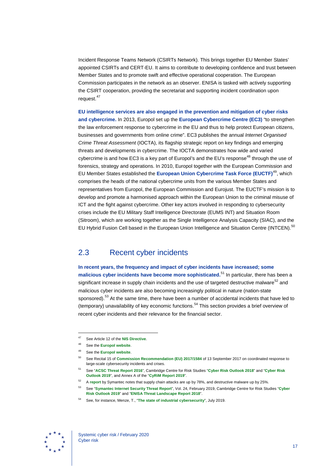Incident Response Teams Network (CSIRTs Network). This brings together EU Member States' appointed CSIRTs and CERT-EU. It aims to contribute to developing confidence and trust between Member States and to promote swift and effective operational cooperation. The European Commission participates in the network as an observer. ENISA is tasked with actively supporting the CSIRT cooperation, providing the secretariat and supporting incident coordination upon request.<sup>[47](#page-17-1)</sup>

**EU intelligence services are also engaged in the prevention and mitigation of cyber risks and cybercrime.** In 2013, Europol set up the **European Cybercrime Centre (EC3)** "to strengthen the law enforcement response to cybercrime in the EU and thus to help protect European citizens, businesses and governments from online crime". EC3 publishes the annual *Internet Organised Crime Threat Assessment* (IOCTA), its flagship strategic report on key findings and emerging threats and developments in cybercrime. The IOCTA demonstrates how wide and varied cybercrime is and how EC3 is a key part of Europol's and the EU's response<sup>[48](#page-17-2)</sup> through the use of forensics, strategy and operations. In 2010, Europol together with the European Commission and EU Member States established the **European Union Cybercrime Task Force (EUCTF)**[49,](#page-17-3) which comprises the heads of the national cybercrime units from the various Member States and representatives from Europol, the European Commission and Eurojust. The EUCTF's mission is to develop and promote a harmonised approach within the European Union to the criminal misuse of ICT and the fight against cybercrime. Other key actors involved in responding to cybersecurity crises include the EU Military Staff Intelligence Directorate (EUMS INT) and Situation Room (Sitroom), which are working together as the Single Intelligence Analysis Capacity (SIAC), and the EU Hybrid Fusion Cell based in the European Union Intelligence and Situation Centre (INTCEN).<sup>[50](#page-17-4)</sup>

## <span id="page-17-0"></span>2.3 Recent cyber incidents

**In recent years, the frequency and impact of cyber incidents have increased; some malicious cyber incidents have become more sophisticated.**[51](#page-17-5) In particular, there has been a significant increase in supply chain incidents and the use of targeted destructive malware<sup>[52](#page-17-6)</sup> and malicious cyber incidents are also becoming increasingly political in nature (nation-state sponsored).<sup>[53](#page-17-7)</sup> At the same time, there have been a number of accidental incidents that have led to (temporary) unavailability of key economic functions.<sup>[54](#page-17-8)</sup> This section provides a brief overview of recent cyber incidents and their relevance for the financial sector.

<span id="page-17-8"></span><span id="page-17-7"></span><span id="page-17-6"></span><span id="page-17-5"></span>

<span id="page-17-1"></span><sup>47</sup> See Article 12 of the **[NIS Directive](https://eur-lex.europa.eu/eli/dir/2016/1148/oj)**.

<span id="page-17-3"></span><span id="page-17-2"></span><sup>48</sup> See the **[Europol website](https://www.europol.europa.eu/about-europol/european-cybercrime-centre-ec3)**.

See the **[Europol website](https://www.europol.europa.eu/about-europol/european-cybercrime-centre-ec3/euctf)**.

<span id="page-17-4"></span><sup>50</sup> See Recital 15 of **[Commission Recommendation \(EU\) 2017/1584](https://eur-lex.europa.eu/eli/reco/2017/1584/oj)** of 13 September 2017 on coordinated response to large-scale cybersecurity incidents and crises.

<sup>51</sup> See "**[ACSC Threat Report 2016](https://www.cyber.gov.au/sites/default/files/2019-04/ACSC_Threat_Report_2016.pdf)**", Cambridge Centre for Risk Studies "**[Cyber Risk Outlook 2018](https://www.jbs.cam.ac.uk/faculty-research/centres/risk/publications/technology-and-space/cyber-risk-outlook/cyber-risk-outlook-2018/)**" and "**[Cyber Risk](https://www.jbs.cam.ac.uk/faculty-research/centres/risk/publications/technology-and-space/cyber-risk-outlook/cyber-risk-outlook-2019/)  [Outlook 2019](https://www.jbs.cam.ac.uk/faculty-research/centres/risk/publications/technology-and-space/cyber-risk-outlook/cyber-risk-outlook-2019/)**", and Annex A of the "**[CyRiM Report 2019](https://www.lloyds.com/news-and-risk-insight/risk-reports/library/technology/bashe-attack)**".

<sup>52</sup> A **[report](https://www.symantec.com/content/dam/symantec/docs/reports/istr-24-2019-en.pdf)** by Symantec notes that supply chain attacks are up by 78%, and destructive malware up by 25%.

<sup>53</sup> See "**[Symantec Internet Security Threat Report](https://www.symantec.com/content/dam/symantec/docs/reports/istr-24-2019-en.pdf)**", Vol. 24, February 2019, Cambridge Centre for Risk Studies "**[Cyber](https://www.jbs.cam.ac.uk/faculty-research/centres/risk/publications/technology-and-space/cyber-risk-outlook/cyber-risk-outlook-2019/)  [Risk Outlook 2019](https://www.jbs.cam.ac.uk/faculty-research/centres/risk/publications/technology-and-space/cyber-risk-outlook/cyber-risk-outlook-2019/)**" and "**[ENISA Threat Landscape Report 2018](https://www.enisa.europa.eu/publications/enisa-threat-landscape-report-2018)**".

<sup>54</sup> See, for instance, Menze, T., "**[The state of industrial cybersecurity](https://ics.kaspersky.com/media/2019_Kaspersky_ARC_ICS_report.pdf)**", July 2019.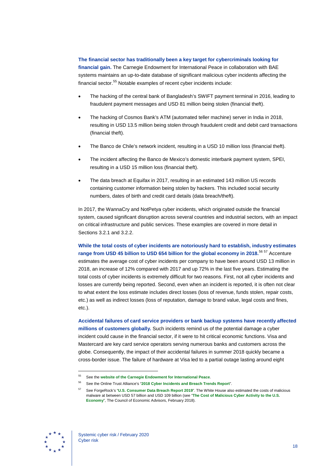**The financial sector has traditionally been a key target for cybercriminals looking for financial gain.** The Carnegie Endowment for International Peace in collaboration with BAE systems maintains an up-to-date database of significant malicious cyber incidents affecting the financial sector.<sup>[55](#page-18-0)</sup> Notable examples of recent cyber incidents include:

- The hacking of the central bank of Bangladesh's SWIFT payment terminal in 2016, leading to fraudulent payment messages and USD 81 million being stolen (financial theft).
- The hacking of Cosmos Bank's ATM (automated teller machine) server in India in 2018, resulting in USD 13.5 million being stolen through fraudulent credit and debit card transactions (financial theft).
- The Banco de Chile's network incident, resulting in a USD 10 million loss (financial theft).
- The incident affecting the Banco de Mexico's domestic interbank payment system, SPEI, resulting in a USD 15 million loss (financial theft).
- The data breach at Equifax in 2017, resulting in an estimated 143 million US records containing customer information being stolen by hackers. This included social security numbers, dates of birth and credit card details (data breach/theft).

In 2017, the WannaCry and NotPetya cyber incidents, which originated outside the financial system, caused significant disruption across several countries and industrial sectors, with an impact on critical infrastructure and public services. These examples are covered in more detail in Sections 3.2.1 and 3.2.2.

**While the total costs of cyber incidents are notoriously hard to establish, industry estimates range from USD 45 billion to USD 654 billion for the global economy in 2018.**[56](#page-18-1) [57](#page-18-2) Accenture estimates the average cost of cyber incidents per company to have been around USD 13 million in 2018, an increase of 12% compared with 2017 and up 72% in the last five years. Estimating the total costs of cyber incidents is extremely difficult for two reasons. First, not all cyber incidents and losses are currently being reported. Second, even when an incident is reported, it is often not clear to what extent the loss estimate includes direct losses (loss of revenue, funds stolen, repair costs, etc.) as well as indirect losses (loss of reputation, damage to brand value, legal costs and fines, etc.).

**Accidental failures of card service providers or bank backup systems have recently affected millions of customers globally.** Such incidents remind us of the potential damage a cyber incident could cause in the financial sector, if it were to hit critical economic functions. Visa and Mastercard are key card service operators serving numerous banks and customers across the globe. Consequently, the impact of their accidental failures in summer 2018 quickly became a cross-border issue. The failure of hardware at Visa led to a partial outage lasting around eight

<span id="page-18-2"></span><span id="page-18-1"></span><span id="page-18-0"></span>

<sup>55</sup> See the **[website of the Carnegie Endowment for International Peace](https://carnegieendowment.org/specialprojects/protectingfinancialstability/timeline)**.

<sup>56</sup> See the Online Trust Alliance's "**[2018 Cyber Incidents and Breach Trends](https://www.internetsociety.org/resources/ota/2019/2018-cyber-incident-breach-trends-report/) Report**".

<sup>57</sup> See ForgeRock's "**[U.S. Consumer Data Breach Report 2019](https://www.forgerock.com/resources/view/92170441/industry-brief/us-consumer-data-breach-report.pdf)**". The White House also estimated the costs of malicious malware at between USD 57 billion and USD 109 billion (see "**[The Cost of Malicious Cyber Activity to the U.S.](https://www.whitehouse.gov/wp-content/uploads/2018/03/The-Cost-of-Malicious-Cyber-Activity-to-the-U.S.-Economy.pdf)  [Economy](https://www.whitehouse.gov/wp-content/uploads/2018/03/The-Cost-of-Malicious-Cyber-Activity-to-the-U.S.-Economy.pdf)**", The Council of Economic Advisors, February 2018).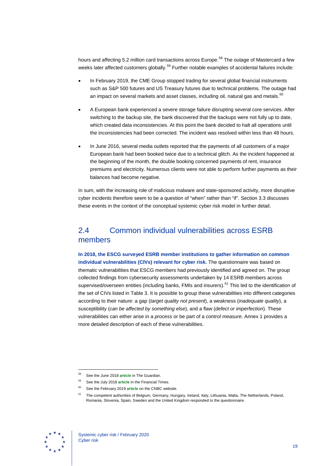hours and affecting 5.2 million card transactions across Europe.<sup>[58](#page-19-1)</sup> The outage of Mastercard a few weeks later affected customers globally.<sup>[59](#page-19-2)</sup> Further notable examples of accidental failures include:

- In February 2019, the CME Group stopped trading for several global financial instruments such as S&P 500 futures and US Treasury futures due to technical problems. The outage had an impact on several markets and asset classes, including oil, natural gas and metals.<sup>[60](#page-19-3)</sup>
- A European bank experienced a severe storage failure disrupting several core services. After switching to the backup site, the bank discovered that the backups were not fully up to date, which created data inconsistencies. At this point the bank decided to halt all operations until the inconsistencies had been corrected. The incident was resolved within less than 48 hours.
- In June 2016, several media outlets reported that the payments of all customers of a major European bank had been booked twice due to a technical glitch. As the incident happened at the beginning of the month, the double booking concerned payments of rent, insurance premiums and electricity. Numerous clients were not able to perform further payments as their balances had become negative.

In sum, with the increasing role of malicious malware and state-sponsored activity, more disruptive cyber incidents therefore seem to be a question of "when" rather than "if". Section 3.3 discusses these events in the context of the conceptual systemic cyber risk model in further detail.

## <span id="page-19-0"></span>2.4 Common individual vulnerabilities across ESRB members

**In 2018, the ESCG surveyed ESRB member institutions to gather information on common individual vulnerabilities (CIVs) relevant for cyber risk.** The questionnaire was based on thematic vulnerabilities that ESCG members had previously identified and agreed on. The group collected findings from cybersecurity assessments undertaken by 14 ESRB members across supervised/overseen entities (including banks, FMIs and insurers).<sup>[61](#page-19-4)</sup> This led to the identification of the set of CIVs listed in Table 3. It is possible to group these vulnerabilities into different categories according to their nature: a gap (*target quality not present*), a weakness (*inadequate quality*), a susceptibility (*can be affected by something else*), and a flaw (*defect or imperfection*). These vulnerabilities can either arise in a *process* or be part of a *control measure*. Annex 1 provides a more detailed description of each of these vulnerabilities.

<span id="page-19-4"></span><span id="page-19-3"></span><span id="page-19-2"></span><span id="page-19-1"></span>

<sup>58</sup> See the June 2018 **[article](https://www.theguardian.com/money/2018/jun/01/visa-card-network-crashes-and-sparks-payment-chaos)** in The Guardian.

<sup>59</sup> See the July 2018 **[article](https://www.ft.com/content/1fd2a066-860f-11e8-a29d-73e3d454535d)** in the Financial Times.

See the February 2019 [article](https://www.cnbc.com/2019/02/27/us-futures-trading-halted-due-to-cme-technical-problems.html) on the CNBC website.

The competent authorities of Belgium, Germany, Hungary, Ireland, Italy, Lithuania, Malta, The Netherlands, Poland, Romania, Slovenia, Spain, Sweden and the United Kingdom responded to the questionnaire.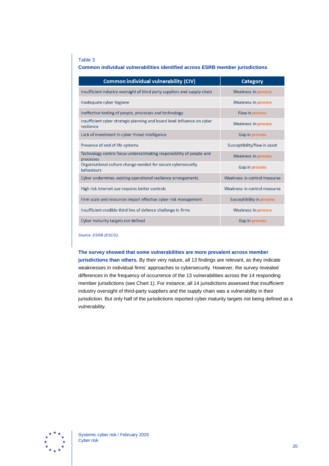#### Table 3

#### **Common individual vulnerabilities identified across ESRB member jurisdictions**

| <b>Common individual vulnerability (CIV)</b>                                           | <b>Category</b>                  |
|----------------------------------------------------------------------------------------|----------------------------------|
| Insufficient industry oversight of third party suppliers and supply-chain              | Weakness in <b>process</b>       |
| Inadequate cyber hygiene                                                               | Weakness in <b>process</b>       |
| Ineffective testing of people, processes and technology                                | Flaw in process                  |
| Insufficient cyber strategic planning and board level influence on cyber<br>resilience | Weakness in <b>process</b>       |
| Lack of investment in cyber threat intelligence                                        | Gap in process                   |
| Presence of end of life systems                                                        | Susceptibility/flaw in asset     |
| Technology centric focus underestimating responsibility of people and<br>processes     | Weakness in process              |
| Organisational culture change needed for secure cybersecurity<br>behaviours            | Gap in process                   |
| Cyber undermines existing operational resilience arrangements                          | Weakness in control measures     |
| High risk internet use requires better controls                                        | Weakness in control measures     |
| Firm scale and resources impact effective cyber risk management                        | Susceptibility in <b>process</b> |
| Insufficient credible third line of defence challenge in firms                         | Weakness in process              |
| Cyber maturity targets not defined                                                     | Gap in <b>process</b>            |

*Source: ESRB (ESCG).*

#### **The survey showed that some vulnerabilities are more prevalent across member**

**jurisdictions than others.** By their very nature, all 13 findings are relevant, as they indicate weaknesses in individual firms' approaches to cybersecurity. However, the survey revealed differences in the frequency of occurrence of the 13 vulnerabilities across the 14 responding member jurisdictions (see Chart 1). For instance, all 14 jurisdictions assessed that insufficient industry oversight of third-party suppliers and the supply chain was a vulnerability in their jurisdiction. But only half of the jurisdictions reported cyber maturity targets not being defined as a vulnerability.

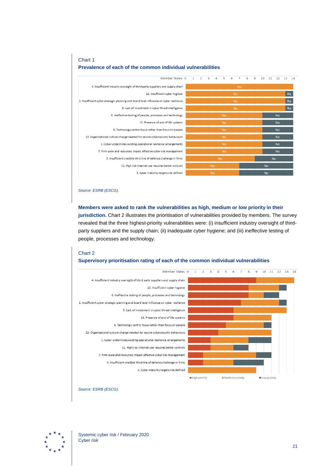#### Member States 0  $\overline{2}$  $\overline{3}$  $\overline{4}$  $5\overline{5}$  $6$  $\circ$ 10 11 12 13 14  $1$  $\overline{7}$ 8 4. Insufficient industry oversight of third party suppliers and supply-chain  $N<sub>o</sub>$ 12. Insufficient cyber hygiene 2. Insufficient cyber strategic planning and board level influence on cyber resilience No  $N<sub>o</sub>$ 9. Lack of investment in cyber threat intelligence  $\overline{N_{\Omega}}$ 6. Ineffective testing of people, processes and technology  $N<sub>o</sub>$ 13. Presence of end of life systems 8. Technology centric focus rather than focus on people  $N<sub>o</sub>$ 10. Organisational culture change needed for secure cybersecurity behaviours  $\overline{N}$ 1. Cyber undermines existing operational resilience arrangements **No** 7. Firm scale and resources impact effective cyber risk management  $\overline{N}$ 5. Insufficient credible third line of defence challenge in firms **No** 11. High risk internet use requires better controls 3. Cyber maturity targets not defined

#### Chart 1

#### **Prevalence of each of the common individual vulnerabilities**

*Source: ESRB (ESCG).*

#### **Members were asked to rank the vulnerabilities as high, medium or low priority in their jurisdiction.** Chart 2 illustrates the prioritisation of vulnerabilities provided by members. The survey revealed that the three highest-priority vulnerabilities were: (i) insufficient industry oversight of thirdparty suppliers and the supply chain; (ii) inadequate cyber hygiene; and (iii) ineffective testing of people, processes and technology.

#### Chart 2 **Supervisory prioritisation rating of each of the common individual vulnerabilities**



*Source: ESRB (ESCG).*

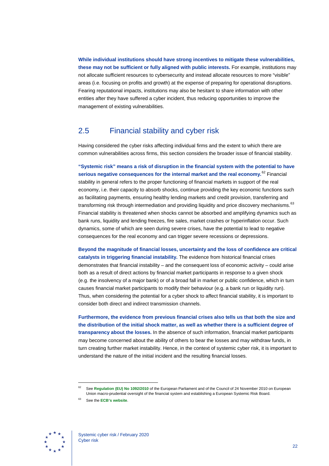**While individual institutions should have strong incentives to mitigate these vulnerabilities, these may not be sufficient or fully aligned with public interests.** For example, institutions may not allocate sufficient resources to cybersecurity and instead allocate resources to more "visible" areas (i.e. focusing on profits and growth) at the expense of preparing for operational disruptions. Fearing reputational impacts, institutions may also be hesitant to share information with other entities after they have suffered a cyber incident, thus reducing opportunities to improve the management of existing vulnerabilities.

## <span id="page-22-0"></span>2.5 Financial stability and cyber risk

Having considered the cyber risks affecting individual firms and the extent to which there are common vulnerabilities across firms, this section considers the broader issue of financial stability.

**"Systemic risk" means a risk of disruption in the financial system with the potential to have serious negative consequences for the internal market and the real economy.**[62](#page-22-1) Financial stability in general refers to the proper functioning of financial markets in support of the real economy, i.e. their capacity to absorb shocks, continue providing the key economic functions such as facilitating payments, ensuring healthy lending markets and credit provision, transferring and transforming risk through intermediation and providing liquidity and price discovery mechanisms. [63](#page-22-2) Financial stability is threatened when shocks cannot be absorbed and amplifying dynamics such as bank runs, liquidity and lending freezes, fire sales, market crashes or hyperinflation occur. Such dynamics, some of which are seen during severe crises, have the potential to lead to negative consequences for the real economy and can trigger severe recessions or depressions.

**Beyond the magnitude of financial losses, uncertainty and the loss of confidence are critical catalysts in triggering financial instability.** The evidence from historical financial crises demonstrates that financial instability – and the consequent loss of economic activity – could arise both as a result of direct actions by financial market participants in response to a given shock (e.g. the insolvency of a major bank) or of a broad fall in market or public confidence, which in turn causes financial market participants to modify their behaviour (e.g. a bank run or liquidity run). Thus, when considering the potential for a cyber shock to affect financial stability, it is important to consider both direct and indirect transmission channels.

**Furthermore, the evidence from previous financial crises also tells us that both the size and the distribution of the initial shock matter, as well as whether there is a sufficient degree of transparency about the losses.** In the absence of such information, financial market participants may become concerned about the ability of others to bear the losses and may withdraw funds, in turn creating further market instability. Hence, in the context of systemic cyber risk, it is important to understand the nature of the initial incident and the resulting financial losses.

<span id="page-22-2"></span><span id="page-22-1"></span>

<sup>62</sup> See **[Regulation \(EU\) No](https://eur-lex.europa.eu/legal-content/EN/TXT/?uri=CELEX%3A32010R1092) 1092/2010** of the European Parliament and of the Council of 24 November 2010 on European Union macro-prudential oversight of the financial system and establishing a European Systemic Risk Board.

<sup>63</sup> See the **[ECB's website](https://www.ecb.europa.eu/ecb/tasks/stability/html/index.en.html)**.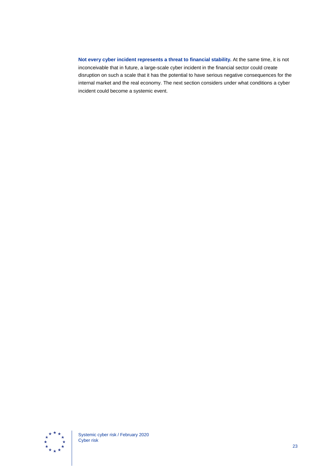<span id="page-23-0"></span>**Not every cyber incident represents a threat to financial stability.** At the same time, it is not inconceivable that in future, a large-scale cyber incident in the financial sector could create disruption on such a scale that it has the potential to have serious negative consequences for the internal market and the real economy. The next section considers under what conditions a cyber incident could become a systemic event.

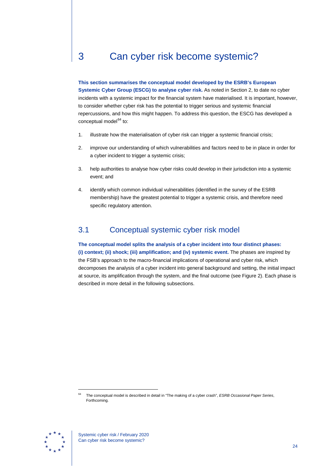## 3 Can cyber risk become systemic?

**This section summarises the conceptual model developed by the ESRB's European Systemic Cyber Group (ESCG) to analyse cyber risk.** As noted in Section 2, to date no cyber incidents with a systemic impact for the financial system have materialised. It is important, however, to consider whether cyber risk has the potential to trigger serious and systemic financial repercussions, and how this might happen. To address this question, the ESCG has developed a conceptual model $64$  to:

- 1. illustrate how the materialisation of cyber risk can trigger a systemic financial crisis;
- 2. improve our understanding of which vulnerabilities and factors need to be in place in order for a cyber incident to trigger a systemic crisis;
- 3. help authorities to analyse how cyber risks could develop in their jurisdiction into a systemic event; and
- <span id="page-24-0"></span>4. identify which common individual vulnerabilities (identified in the survey of the ESRB membership) have the greatest potential to trigger a systemic crisis, and therefore need specific regulatory attention.

## 3.1 Conceptual systemic cyber risk model

**The conceptual model splits the analysis of a cyber incident into four distinct phases: (i) context; (ii) shock; (iii) amplification; and (iv) systemic event.** The phases are inspired by the FSB's approach to the macro-financial implications of operational and cyber risk, which decomposes the analysis of a cyber incident into general background and setting, the initial impact at source, its amplification through the system, and the final outcome (see Figure 2). Each phase is described in more detail in the following subsections.

<span id="page-24-1"></span>

<sup>64</sup> The conceptual model is described in detail in "The making of a cyber crash", *ESRB Occasional Paper Series*, Forthcoming.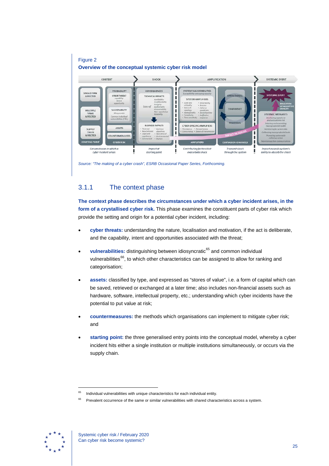

*Source: "The making of a cyber crash", ESRB Occasional Paper Series, Forthcoming.* 

### 3.1.1 The context phase

**The context phase describes the circumstances under which a cyber incident arises, in the form of a crystallised cyber risk.** This phase examines the constituent parts of cyber risk which provide the setting and origin for a potential cyber incident, including:

- **cyber threats:** understanding the nature, localisation and motivation, if the act is deliberate, and the capability, intent and opportunities associated with the threat;
- vulnerabilities: distinguishing between idiosyncratic<sup>[65](#page-25-0)</sup> and common individual vulnerabilities<sup>66</sup>, to which other characteristics can be assigned to allow for ranking and categorisation;
- **assets:** classified by type, and expressed as "stores of value", i.e. a form of capital which can be saved, retrieved or exchanged at a later time; also includes non-financial assets such as hardware, software, intellectual property, etc.; understanding which cyber incidents have the potential to put value at risk;
- **countermeasures:** the methods which organisations can implement to mitigate cyber risk; and
- **starting point:** the three generalised entry points into the conceptual model, whereby a cyber incident hits either a single institution or multiple institutions simultaneously, or occurs via the supply chain.

<span id="page-25-1"></span><span id="page-25-0"></span>

 $65$  Individual vulnerabilities with unique characteristics for each individual entity.

Prevalent occurrence of the same or similar vulnerabilities with shared characteristics across a system.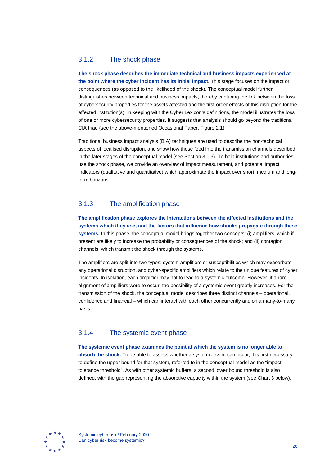#### 3.1.2 The shock phase

**The shock phase describes the immediate technical and business impacts experienced at the point where the cyber incident has its initial impact.** This stage focuses on the impact or consequences (as opposed to the likelihood of the shock). The conceptual model further distinguishes between technical and business impacts, thereby capturing the link between the loss of cybersecurity properties for the assets affected and the first-order effects of this disruption for the affected institution(s). In keeping with the Cyber Lexicon's definitions, the model illustrates the loss of one or more cybersecurity properties. It suggests that analysis should go beyond the traditional CIA triad (see the above-mentioned Occasional Paper, Figure 2.1).

Traditional business impact analysis (BIA) techniques are used to describe the non-technical aspects of localised disruption, and show how these feed into the transmission channels described in the later stages of the conceptual model (see Section 3.1.3). To help institutions and authorities use the shock phase, we provide an overview of impact measurement, and potential impact indicators (qualitative and quantitative) which approximate the impact over short, medium and longterm horizons.

#### 3.1.3 The amplification phase

**The amplification phase explores the interactions between the affected institutions and the systems which they use, and the factors that influence how shocks propagate through these systems.** In this phase, the conceptual model brings together two concepts: (i) amplifiers, which if present are likely to increase the probability or consequences of the shock; and (ii) contagion channels, which transmit the shock through the systems.

The amplifiers are split into two types: system amplifiers or susceptibilities which may exacerbate any operational disruption, and cyber-specific amplifiers which relate to the unique features of cyber incidents. In isolation, each amplifier may not to lead to a systemic outcome. However, if a rare alignment of amplifiers were to occur, the possibility of a systemic event greatly increases. For the transmission of the shock, the conceptual model describes three distinct channels – operational, confidence and financial – which can interact with each other concurrently and on a many-to-many basis.

#### 3.1.4 The systemic event phase

**The systemic event phase examines the point at which the system is no longer able to absorb the shock.** To be able to assess whether a systemic event can occur, it is first necessary to define the upper bound for that system, referred to in the conceptual model as the "impact tolerance threshold". As with other systemic buffers, a second lower bound threshold is also defined, with the gap representing the absorptive capacity within the system (see Chart 3 below).

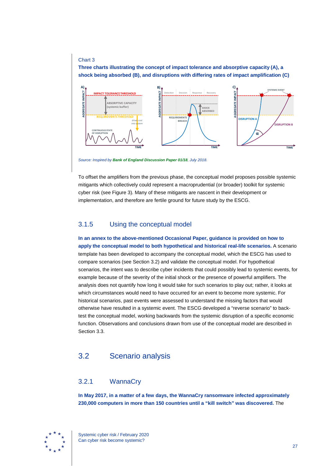#### Chart 3

**Three charts illustrating the concept of impact tolerance and absorptive capacity (A), a shock being absorbed (B), and disruptions with differing rates of impact amplification (C)**



*Source: Inspired by [Bank of England Discussion Paper](https://www.bankofengland.co.uk/-/media/boe/files/prudential-regulation/discussion-paper/2018/dp118.pdf) 01/18, July 2018.*

To offset the amplifiers from the previous phase, the conceptual model proposes possible systemic mitigants which collectively could represent a macroprudential (or broader) toolkit for systemic cyber risk (see Figure 3). Many of these mitigants are nascent in their development or implementation, and therefore are fertile ground for future study by the ESCG.

#### 3.1.5 Using the conceptual model

**In an annex to the above-mentioned Occasional Paper, guidance is provided on how to apply the conceptual model to both hypothetical and historical real-life scenarios.** A scenario template has been developed to accompany the conceptual model, which the ESCG has used to compare scenarios (see Section 3.2) and validate the conceptual model. For hypothetical scenarios, the intent was to describe cyber incidents that could possibly lead to systemic events, for example because of the severity of the initial shock or the presence of powerful amplifiers. The analysis does not quantify how long it would take for such scenarios to play out; rather, it looks at which circumstances would need to have occurred for an event to become more systemic. For historical scenarios, past events were assessed to understand the missing factors that would otherwise have resulted in a systemic event. The ESCG developed a "reverse scenario" to backtest the conceptual model, working backwards from the systemic disruption of a specific economic function. Observations and conclusions drawn from use of the conceptual model are described in Section 3.3.

### <span id="page-27-0"></span>3.2 Scenario analysis

#### 3.2.1 WannaCry

**In May 2017, in a matter of a few days, the WannaCry ransomware infected approximately 230,000 computers in more than 150 countries until a "kill switch" was discovered.** The

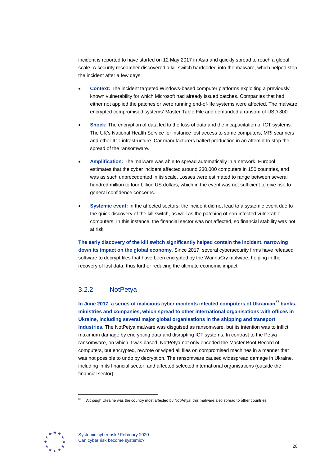incident is reported to have started on 12 May 2017 in Asia and quickly spread to reach a global scale. A security researcher discovered a kill switch hardcoded into the malware, which helped stop the incident after a few days.

- **Context:** The incident targeted Windows-based computer platforms exploiting a previously known vulnerability for which Microsoft had already issued patches. Companies that had either not applied the patches or were running end-of-life systems were affected. The malware encrypted compromised systems' Master Table File and demanded a ransom of USD 300.
- **Shock:** The encryption of data led to the loss of data and the incapacitation of ICT systems. The UK's National Health Service for instance lost access to some computers, MRI scanners and other ICT infrastructure. Car manufacturers halted production in an attempt to stop the spread of the ransomware.
- **Amplification:** The malware was able to spread automatically in a network. Europol estimates that the cyber incident affected around 230,000 computers in 150 countries, and was as such unprecedented in its scale. Losses were estimated to range between several hundred million to four billion US dollars, which in the event was not sufficient to give rise to general confidence concerns.
- **Systemic event:** In the affected sectors, the incident did not lead to a systemic event due to the quick discovery of the kill switch, as well as the patching of non-infected vulnerable computers. In this instance, the financial sector was not affected, so financial stability was not at risk.

**The early discovery of the kill switch significantly helped contain the incident, narrowing down its impact on the global economy.** Since 2017, several cybersecurity firms have released software to decrypt files that have been encrypted by the WannaCry malware, helping in the recovery of lost data, thus further reducing the ultimate economic impact.

### 3.2.2 NotPetya

**In June 2017, a series of malicious cyber incidents infected computers of Ukrainian**[67](#page-28-0) **banks, ministries and companies, which spread to other international organisations with offices in Ukraine, including several major global organisations in the shipping and transport industries.** The NotPetya malware was disguised as ransomware, but its intention was to inflict maximum damage by encrypting data and disrupting ICT systems. In contrast to the Petya ransomware, on which it was based, NotPetya not only encoded the Master Boot Record of computers, but encrypted, rewrote or wiped all files on compromised machines in a manner that was not possible to undo by decryption. The ransomware caused widespread damage in Ukraine, including in its financial sector, and affected selected international organisations (outside the financial sector).

<span id="page-28-0"></span>

Although Ukraine was the country most affected by NotPetya, this malware also spread to other countries.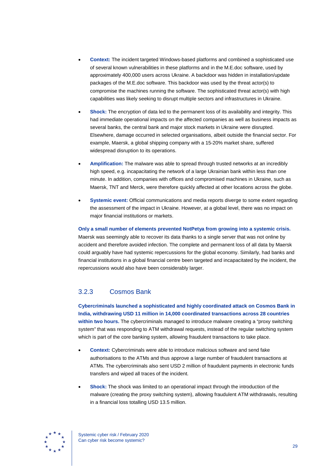- **Context:** The incident targeted Windows-based platforms and combined a sophisticated use of several known vulnerabilities in these platforms and in the M.E.doc software, used by approximately 400,000 users across Ukraine. A backdoor was hidden in installation/update packages of the M.E.doc software. This backdoor was used by the threat actor(s) to compromise the machines running the software. The sophisticated threat actor(s) with high capabilities was likely seeking to disrupt multiple sectors and infrastructures in Ukraine.
- **Shock:** The encryption of data led to the permanent loss of its availability and integrity. This had immediate operational impacts on the affected companies as well as business impacts as several banks, the central bank and major stock markets in Ukraine were disrupted. Elsewhere, damage occurred in selected organisations, albeit outside the financial sector. For example, Maersk, a global shipping company with a 15-20% market share, suffered widespread disruption to its operations.
- **Amplification:** The malware was able to spread through trusted networks at an incredibly high speed, e.g. incapacitating the network of a large Ukrainian bank within less than one minute. In addition, companies with offices and compromised machines in Ukraine, such as Maersk, TNT and Merck, were therefore quickly affected at other locations across the globe.
- **Systemic event:** Official communications and media reports diverge to some extent regarding the assessment of the impact in Ukraine. However, at a global level, there was no impact on major financial institutions or markets.

#### **Only a small number of elements prevented NotPetya from growing into a systemic crisis.**

Maersk was seemingly able to recover its data thanks to a single server that was not online by accident and therefore avoided infection. The complete and permanent loss of all data by Maersk could arguably have had systemic repercussions for the global economy. Similarly, had banks and financial institutions in a global financial centre been targeted and incapacitated by the incident, the repercussions would also have been considerably larger.

## 3.2.3 Cosmos Bank

**Cybercriminals launched a sophisticated and highly coordinated attack on Cosmos Bank in India, withdrawing USD 11 million in 14,000 coordinated transactions across 28 countries within two hours.** The cybercriminals managed to introduce malware creating a "proxy switching system" that was responding to ATM withdrawal requests, instead of the regular switching system which is part of the core banking system, allowing fraudulent transactions to take place.

- **Context:** Cybercriminals were able to introduce malicious software and send fake authorisations to the ATMs and thus approve a large number of fraudulent transactions at ATMs. The cybercriminals also sent USD 2 million of fraudulent payments in electronic funds transfers and wiped all traces of the incident.
- **Shock:** The shock was limited to an operational impact through the introduction of the malware (creating the proxy switching system), allowing fraudulent ATM withdrawals, resulting in a financial loss totalling USD 13.5 million.

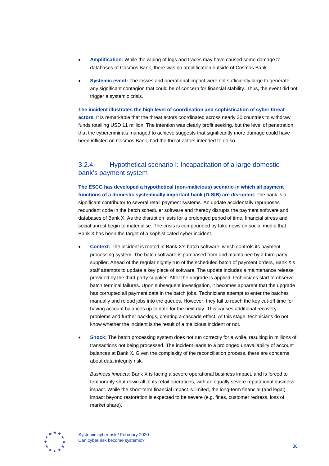- **Amplification:** While the wiping of logs and traces may have caused some damage to databases of Cosmos Bank, there was no amplification outside of Cosmos Bank.
- **Systemic event:** The losses and operational impact were not sufficiently large to generate any significant contagion that could be of concern for financial stability. Thus, the event did not trigger a systemic crisis.

**The incident illustrates the high level of coordination and sophistication of cyber threat actors.** It is remarkable that the threat actors coordinated across nearly 30 countries to withdraw funds totalling USD 11 million. The intention was clearly profit seeking, but the level of penetration that the cybercriminals managed to achieve suggests that significantly more damage could have been inflicted on Cosmos Bank, had the threat actors intended to do so.

## 3.2.4 Hypothetical scenario I: Incapacitation of a large domestic bank's payment system

**The ESCG has developed a hypothetical (non-malicious) scenario in which all payment functions of a domestic systemically important bank (D-SIB) are disrupted.** The bank is a significant contributor to several retail payment systems. An update accidentally repurposes redundant code in the batch scheduler software and thereby disrupts the payment software and databases of Bank X. As the disruption lasts for a prolonged period of time, financial stress and social unrest begin to materialise. The crisis is compounded by fake news on social media that Bank X has been the target of a sophisticated cyber incident.

- **Context:** The incident is rooted in Bank X's batch software, which controls its payment processing system. The batch software is purchased from and maintained by a third-party supplier. Ahead of the regular nightly run of the scheduled batch of payment orders, Bank X's staff attempts to update a key piece of software. The update includes a maintenance release provided by the third-party supplier. After the upgrade is applied, technicians start to observe batch terminal failures. Upon subsequent investigation, it becomes apparent that the upgrade has corrupted all payment data in the batch jobs. Technicians attempt to enter the batches manually and reload jobs into the queues. However, they fail to reach the key cut-off time for having account balances up to date for the next day. This causes additional recovery problems and further backlogs, creating a cascade effect. At this stage, technicians do not know whether the incident is the result of a malicious incident or not.
- **Shock:** The batch processing system does not run correctly for a while, resulting in millions of transactions not being processed. The incident leads to a prolonged unavailability of account balances at Bank X. Given the complexity of the reconciliation process, there are concerns about data integrity risk.

*Business impacts:* Bank X is facing a severe operational business impact, and is forced to temporarily shut down all of its retail operations, with an equally severe reputational business impact. While the short-term financial impact is limited, the long-term financial (and legal) impact beyond restoration is expected to be severe (e.g. fines, customer redress, loss of market share).

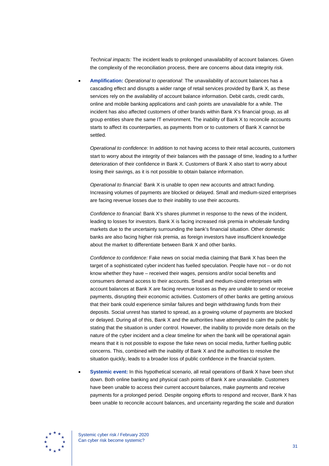*Technical impacts:* The incident leads to prolonged unavailability of account balances. Given the complexity of the reconciliation process, there are concerns about data integrity risk.

• **Amplification:** *Operational to operational*: The unavailability of account balances has a cascading effect and disrupts a wider range of retail services provided by Bank X, as these services rely on the availability of account balance information. Debit cards, credit cards, online and mobile banking applications and cash points are unavailable for a while. The incident has also affected customers of other brands within Bank X's financial group, as all group entities share the same IT environment. The inability of Bank X to reconcile accounts starts to affect its counterparties, as payments from or to customers of Bank X cannot be settled.

*Operational to confidence:* In addition to not having access to their retail accounts, customers start to worry about the integrity of their balances with the passage of time, leading to a further deterioration of their confidence in Bank X. Customers of Bank X also start to worry about losing their savings, as it is not possible to obtain balance information.

*Operational to financial:* Bank X is unable to open new accounts and attract funding. Increasing volumes of payments are blocked or delayed. Small and medium-sized enterprises are facing revenue losses due to their inability to use their accounts.

*Confidence to financial:* Bank X's shares plummet in response to the news of the incident, leading to losses for investors. Bank X is facing increased risk premia in wholesale funding markets due to the uncertainty surrounding the bank's financial situation. Other domestic banks are also facing higher risk premia, as foreign investors have insufficient knowledge about the market to differentiate between Bank X and other banks.

*Confidence to confidence:* Fake news on social media claiming that Bank X has been the target of a sophisticated cyber incident has fuelled speculation. People have not – or do not know whether they have – received their wages, pensions and/or social benefits and consumers demand access to their accounts. Small and medium-sized enterprises with account balances at Bank X are facing revenue losses as they are unable to send or receive payments, disrupting their economic activities. Customers of other banks are getting anxious that their bank could experience similar failures and begin withdrawing funds from their deposits. Social unrest has started to spread, as a growing volume of payments are blocked or delayed. During all of this, Bank X and the authorities have attempted to calm the public by stating that the situation is under control. However, the inability to provide more details on the nature of the cyber incident and a clear timeline for when the bank will be operational again means that it is not possible to expose the fake news on social media, further fuelling public concerns. This, combined with the inability of Bank X and the authorities to resolve the situation quickly, leads to a broader loss of public confidence in the financial system.

• **Systemic event:** In this hypothetical scenario, all retail operations of Bank X have been shut down. Both online banking and physical cash points of Bank X are unavailable. Customers have been unable to access their current account balances, make payments and receive payments for a prolonged period. Despite ongoing efforts to respond and recover, Bank X has been unable to reconcile account balances, and uncertainty regarding the scale and duration

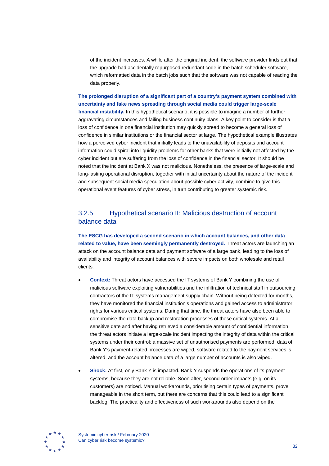of the incident increases. A while after the original incident, the software provider finds out that the upgrade had accidentally repurposed redundant code in the batch scheduler software, which reformatted data in the batch jobs such that the software was not capable of reading the data properly.

**The prolonged disruption of a significant part of a country's payment system combined with uncertainty and fake news spreading through social media could trigger large-scale financial instability.** In this hypothetical scenario, it is possible to imagine a number of further aggravating circumstances and failing business continuity plans. A key point to consider is that a loss of confidence in one financial institution may quickly spread to become a general loss of confidence in similar institutions or the financial sector at large. The hypothetical example illustrates how a perceived cyber incident that initially leads to the unavailability of deposits and account information could spiral into liquidity problems for other banks that were initially not affected by the cyber incident but are suffering from the loss of confidence in the financial sector. It should be noted that the incident at Bank X was not malicious. Nonetheless, the presence of large-scale and long-lasting operational disruption, together with initial uncertainty about the nature of the incident and subsequent social media speculation about possible cyber activity, combine to give this operational event features of cyber stress, in turn contributing to greater systemic risk.

### 3.2.5 Hypothetical scenario II: Malicious destruction of account balance data

**The ESCG has developed a second scenario in which account balances, and other data related to value, have been seemingly permanently destroyed.** Threat actors are launching an attack on the account balance data and payment software of a large bank, leading to the loss of availability and integrity of account balances with severe impacts on both wholesale and retail clients.

- **Context:** Threat actors have accessed the IT systems of Bank Y combining the use of malicious software exploiting vulnerabilities and the infiltration of technical staff in outsourcing contractors of the IT systems management supply chain. Without being detected for months, they have monitored the financial institution's operations and gained access to administrator rights for various critical systems. During that time, the threat actors have also been able to compromise the data backup and restoration processes of these critical systems. At a sensitive date and after having retrieved a considerable amount of confidential information, the threat actors initiate a large-scale incident impacting the integrity of data within the critical systems under their control: a massive set of unauthorised payments are performed, data of Bank Y's payment-related processes are wiped, software related to the payment services is altered, and the account balance data of a large number of accounts is also wiped.
- **Shock:** At first, only Bank Y is impacted. Bank Y suspends the operations of its payment systems, because they are not reliable. Soon after, second-order impacts (e.g. on its customers) are noticed. Manual workarounds, prioritising certain types of payments, prove manageable in the short term, but there are concerns that this could lead to a significant backlog. The practicality and effectiveness of such workarounds also depend on the

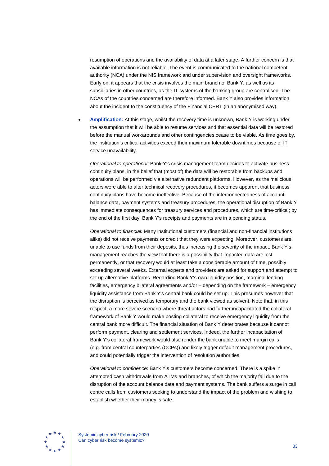resumption of operations and the availability of data at a later stage. A further concern is that available information is not reliable. The event is communicated to the national competent authority (NCA) under the NIS framework and under supervision and oversight frameworks. Early on, it appears that the crisis involves the main branch of Bank Y, as well as its subsidiaries in other countries, as the IT systems of the banking group are centralised. The NCAs of the countries concerned are therefore informed. Bank Y also provides information about the incident to the constituency of the Financial CERT (in an anonymised way).

• **Amplification:** At this stage, whilst the recovery time is unknown, Bank Y is working under the assumption that it will be able to resume services and that essential data will be restored before the manual workarounds and other contingencies cease to be viable. As time goes by, the institution's critical activities exceed their maximum tolerable downtimes because of IT service unavailability.

*Operational to operational:* Bank Y's crisis management team decides to activate business continuity plans, in the belief that (most of) the data will be restorable from backups and operations will be performed via alternative redundant platforms. However, as the malicious actors were able to alter technical recovery procedures, it becomes apparent that business continuity plans have become ineffective. Because of the interconnectedness of account balance data, payment systems and treasury procedures, the operational disruption of Bank Y has immediate consequences for treasury services and procedures, which are time-critical; by the end of the first day, Bank Y's receipts and payments are in a pending status.

*Operational to financial:* Many institutional customers (financial and non-financial institutions alike) did not receive payments or credit that they were expecting. Moreover, customers are unable to use funds from their deposits, thus increasing the severity of the impact. Bank Y's management reaches the view that there is a possibility that impacted data are lost permanently, or that recovery would at least take a considerable amount of time, possibly exceeding several weeks. External experts and providers are asked for support and attempt to set up alternative platforms. Regarding Bank Y's own liquidity position, marginal lending facilities, emergency bilateral agreements and/or – depending on the framework – emergency liquidity assistance from Bank Y's central bank could be set up. This presumes however that the disruption is perceived as temporary and the bank viewed as solvent. Note that, in this respect, a more severe scenario where threat actors had further incapacitated the collateral framework of Bank Y would make posting collateral to receive emergency liquidity from the central bank more difficult. The financial situation of Bank Y deteriorates because it cannot perform payment, clearing and settlement services. Indeed, the further incapacitation of Bank Y's collateral framework would also render the bank unable to meet margin calls (e.g. from central counterparties (CCPs)) and likely trigger default management procedures, and could potentially trigger the intervention of resolution authorities.

*Operational to confidence:* Bank Y's customers become concerned. There is a spike in attempted cash withdrawals from ATMs and branches, of which the majority fail due to the disruption of the account balance data and payment systems. The bank suffers a surge in call centre calls from customers seeking to understand the impact of the problem and wishing to establish whether their money is safe.

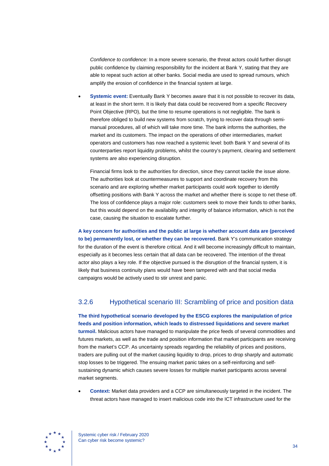*Confidence to confidence:* In a more severe scenario, the threat actors could further disrupt public confidence by claiming responsibility for the incident at Bank Y, stating that they are able to repeat such action at other banks. Social media are used to spread rumours, which amplify the erosion of confidence in the financial system at large.

• **Systemic event:** Eventually Bank Y becomes aware that it is not possible to recover its data, at least in the short term. It is likely that data could be recovered from a specific Recovery Point Objective (RPO), but the time to resume operations is not negligible. The bank is therefore obliged to build new systems from scratch, trying to recover data through semimanual procedures, all of which will take more time. The bank informs the authorities, the market and its customers. The impact on the operations of other intermediaries, market operators and customers has now reached a systemic level: both Bank Y and several of its counterparties report liquidity problems, whilst the country's payment, clearing and settlement systems are also experiencing disruption.

Financial firms look to the authorities for direction, since they cannot tackle the issue alone. The authorities look at countermeasures to support and coordinate recovery from this scenario and are exploring whether market participants could work together to identify offsetting positions with Bank Y across the market and whether there is scope to net these off. The loss of confidence plays a major role: customers seek to move their funds to other banks, but this would depend on the availability and integrity of balance information, which is not the case, causing the situation to escalate further.

**A key concern for authorities and the public at large is whether account data are (perceived to be) permanently lost, or whether they can be recovered.** Bank Y's communication strategy for the duration of the event is therefore critical. And it will become increasingly difficult to maintain, especially as it becomes less certain that all data can be recovered. The intention of the threat actor also plays a key role. If the objective pursued is the disruption of the financial system, it is likely that business continuity plans would have been tampered with and that social media campaigns would be actively used to stir unrest and panic.

### 3.2.6 Hypothetical scenario III: Scrambling of price and position data

**The third hypothetical scenario developed by the ESCG explores the manipulation of price feeds and position information, which leads to distressed liquidations and severe market turmoil.** Malicious actors have managed to manipulate the price feeds of several commodities and futures markets, as well as the trade and position information that market participants are receiving from the market's CCP. As uncertainty spreads regarding the reliability of prices and positions, traders are pulling out of the market causing liquidity to drop, prices to drop sharply and automatic stop losses to be triggered. The ensuing market panic takes on a self-reinforcing and selfsustaining dynamic which causes severe losses for multiple market participants across several market segments.

• **Context:** Market data providers and a CCP are simultaneously targeted in the incident. The threat actors have managed to insert malicious code into the ICT infrastructure used for the

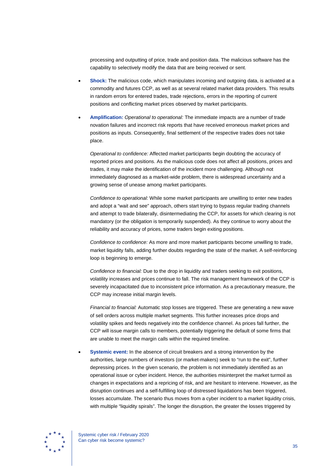processing and outputting of price, trade and position data. The malicious software has the capability to selectively modify the data that are being received or sent.

- **Shock:** The malicious code, which manipulates incoming and outgoing data, is activated at a commodity and futures CCP, as well as at several related market data providers. This results in random errors for entered trades, trade rejections, errors in the reporting of current positions and conflicting market prices observed by market participants.
- **Amplification:** *Operational to operational:* The immediate impacts are a number of trade novation failures and incorrect risk reports that have received erroneous market prices and positions as inputs. Consequently, final settlement of the respective trades does not take place.

*Operational to confidence:* Affected market participants begin doubting the accuracy of reported prices and positions. As the malicious code does not affect all positions, prices and trades, it may make the identification of the incident more challenging. Although not immediately diagnosed as a market-wide problem, there is widespread uncertainty and a growing sense of unease among market participants.

*Confidence to operational:* While some market participants are unwilling to enter new trades and adopt a "wait and see" approach, others start trying to bypass regular trading channels and attempt to trade bilaterally, disintermediating the CCP, for assets for which clearing is not mandatory (or the obligation is temporarily suspended). As they continue to worry about the reliability and accuracy of prices, some traders begin exiting positions.

*Confidence to confidence:* As more and more market participants become unwilling to trade, market liquidity falls, adding further doubts regarding the state of the market. A self-reinforcing loop is beginning to emerge.

*Confidence to financial:* Due to the drop in liquidity and traders seeking to exit positions, volatility increases and prices continue to fall. The risk management framework of the CCP is severely incapacitated due to inconsistent price information. As a precautionary measure, the CCP may increase initial margin levels.

*Financial to financial:* Automatic stop losses are triggered. These are generating a new wave of sell orders across multiple market segments. This further increases price drops and volatility spikes and feeds negatively into the confidence channel. As prices fall further, the CCP will issue margin calls to members, potentially triggering the default of some firms that are unable to meet the margin calls within the required timeline.

• **Systemic event:** In the absence of circuit breakers and a strong intervention by the authorities, large numbers of investors (or market-makers) seek to "run to the exit", further depressing prices. In the given scenario, the problem is not immediately identified as an operational issue or cyber incident. Hence, the authorities misinterpret the market turmoil as changes in expectations and a repricing of risk, and are hesitant to intervene. However, as the disruption continues and a self-fulfilling loop of distressed liquidations has been triggered, losses accumulate. The scenario thus moves from a cyber incident to a market liquidity crisis, with multiple "liquidity spirals". The longer the disruption, the greater the losses triggered by

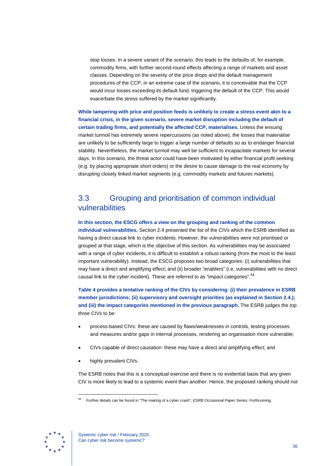stop losses. In a severe variant of the scenario, this leads to the defaults of, for example, commodity firms, with further second-round effects affecting a range of markets and asset classes. Depending on the severity of the price drops and the default management procedures of the CCP, in an extreme case of the scenario, it is conceivable that the CCP would incur losses exceeding its default fund, triggering the default of the CCP. This would exacerbate the stress suffered by the market significantly.

**While tampering with price and position feeds is unlikely to create a stress event akin to a financial crisis, in the given scenario, severe market disruption including the default of certain trading firms, and potentially the affected CCP, materialises.** Unless the ensuing market turmoil has extremely severe repercussions (as noted above), the losses that materialise are unlikely to be sufficiently large to trigger a large number of defaults so as to endanger financial stability. Nevertheless, the market turmoil may well be sufficient to incapacitate markets for several days. In this scenario, the threat actor could have been motivated by either financial profit seeking (e.g. by placing appropriate short orders) or the desire to cause damage to the real economy by disrupting closely linked market segments (e.g. commodity markets and futures markets).

## <span id="page-36-0"></span>3.3 Grouping and prioritisation of common individual vulnerabilities

**In this section, the ESCG offers a view on the grouping and ranking of the common individual vulnerabilities.** Section 2.4 presented the list of the CIVs which the ESRB identified as having a direct causal link to cyber incidents. However, the vulnerabilities were not prioritised or grouped at that stage, which is the objective of this section. As vulnerabilities may be associated with a range of cyber incidents, it is difficult to establish a robust ranking (from the most to the least important vulnerability). Instead, the ESCG proposes two broad categories: (i) vulnerabilities that may have a direct and amplifying effect; and (ii) broader "enablers" (i.e. vulnerabilities with no direct causal link to the cyber incident). These are referred to as "impact categories". <sup>[68](#page-36-1)</sup>

**Table 4 provides a tentative ranking of the CIVs by considering: (i) their prevalence in ESRB member jurisdictions; (ii) supervisory and oversight priorities (as explained in Section 2.4.); and (iii) the impact categories mentioned in the previous paragraph.** The ESRB judges the top three CIVs to be:

- process-based CIVs: these are caused by flaws/weaknesses in controls, testing processes and measures and/or gaps in internal processes, rendering an organisation more vulnerable;
- CIVs capable of direct causation: these may have a direct and amplifying effect; and
- highly prevalent CIVs.

The ESRB notes that this is a conceptual exercise and there is no evidential basis that any given CIV is more likely to lead to a systemic event than another. Hence, the proposed ranking should not

<span id="page-36-1"></span>

<sup>68</sup> Further details can be found in "The making of a cyber crash", *ESRB Occasional Paper Series*, Forthcoming.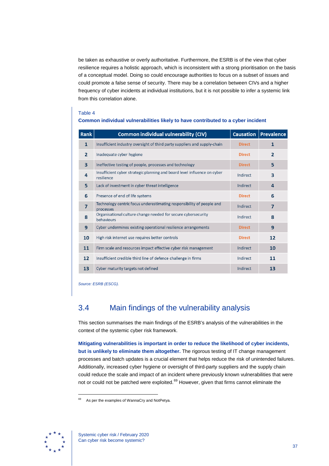be taken as exhaustive or overly authoritative. Furthermore, the ESRB is of the view that cyber resilience requires a holistic approach, which is inconsistent with a strong prioritisation on the basis of a conceptual model. Doing so could encourage authorities to focus on a subset of issues and could promote a false sense of security. There may be a correlation between CIVs and a higher frequency of cyber incidents at individual institutions, but it is not possible to infer a systemic link from this correlation alone.

#### Table 4

#### **Common individual vulnerabilities likely to have contributed to a cyber incident**

| Rank           | <b>Common individual vulnerability (CIV)</b>                                           | <b>Causation</b> | <b>Prevalence</b> |
|----------------|----------------------------------------------------------------------------------------|------------------|-------------------|
| $\mathbf{1}$   | Insufficient industry oversight of third party suppliers and supply-chain              | <b>Direct</b>    | 1                 |
| $\overline{2}$ | Inadequate cyber hygiene                                                               | <b>Direct</b>    | $\overline{2}$    |
| 3              | Ineffective testing of people, processes and technology                                | <b>Direct</b>    | 5                 |
| 4              | Insufficient cyber strategic planning and board level influence on cyber<br>resilience | Indirect         | 3                 |
| 5              | Lack of investment in cyber threat intelligence                                        | Indirect         | 4                 |
| 6              | Presence of end of life systems                                                        | <b>Direct</b>    | 6                 |
| 7              | Technology centric focus underestimating responsibility of people and<br>processes     | Indirect         | 7                 |
| 8              | Organisational culture change needed for secure cybersecurity<br>behaviours            | Indirect         | 8                 |
| 9              | Cyber undermines existing operational resilience arrangements                          | <b>Direct</b>    | 9                 |
| 10             | High risk internet use requires better controls                                        | <b>Direct</b>    | 12                |
| 11             | Firm scale and resources impact effective cyber risk management                        | Indirect         | 10                |
| 12             | Insufficient credible third line of defence challenge in firms                         | Indirect         | 11                |
| 13             | Cyber maturity targets not defined                                                     | Indirect         | 13                |

*Source: ESRB (ESCG).*

## <span id="page-37-0"></span>3.4 Main findings of the vulnerability analysis

This section summarises the main findings of the ESRB's analysis of the vulnerabilities in the context of the systemic cyber risk framework.

**Mitigating vulnerabilities is important in order to reduce the likelihood of cyber incidents, but is unlikely to eliminate them altogether.** The rigorous testing of IT change management processes and batch updates is a crucial element that helps reduce the risk of unintended failures. Additionally, increased cyber hygiene or oversight of third-party suppliers and the supply chain could reduce the scale and impact of an incident where previously known vulnerabilities that were not or could not be patched were exploited.<sup>[69](#page-37-1)</sup> However, given that firms cannot eliminate the

<span id="page-37-1"></span>

As per the examples of WannaCry and NotPetya.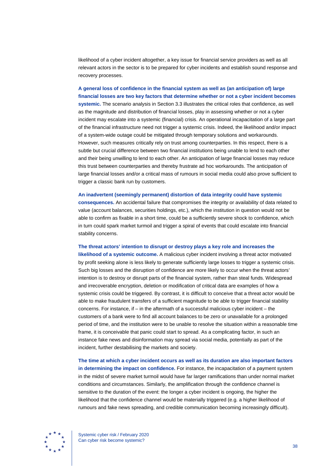likelihood of a cyber incident altogether, a key issue for financial service providers as well as all relevant actors in the sector is to be prepared for cyber incidents and establish sound response and recovery processes.

**A general loss of confidence in the financial system as well as (an anticipation of) large financial losses are two key factors that determine whether or not a cyber incident becomes systemic.** The scenario analysis in Section 3.3 illustrates the critical roles that confidence, as well as the magnitude and distribution of financial losses, play in assessing whether or not a cyber incident may escalate into a systemic (financial) crisis. An operational incapacitation of a large part of the financial infrastructure need not trigger a systemic crisis. Indeed, the likelihood and/or impact of a system-wide outage could be mitigated through temporary solutions and workarounds. However, such measures critically rely on trust among counterparties. In this respect, there is a subtle but crucial difference between two financial institutions being unable to lend to each other and their being unwilling to lend to each other. An anticipation of large financial losses may reduce this trust between counterparties and thereby frustrate ad hoc workarounds. The anticipation of large financial losses and/or a critical mass of rumours in social media could also prove sufficient to trigger a classic bank run by customers.

**An inadvertent (seemingly permanent) distortion of data integrity could have systemic consequences.** An accidental failure that compromises the integrity or availability of data related to value (account balances, securities holdings, etc.), which the institution in question would not be able to confirm as fixable in a short time, could be a sufficiently severe shock to confidence, which in turn could spark market turmoil and trigger a spiral of events that could escalate into financial stability concerns.

**The threat actors' intention to disrupt or destroy plays a key role and increases the** 

**likelihood of a systemic outcome.** A malicious cyber incident involving a threat actor motivated by profit seeking alone is less likely to generate sufficiently large losses to trigger a systemic crisis. Such big losses and the disruption of confidence are more likely to occur when the threat actors' intention is to destroy or disrupt parts of the financial system, rather than steal funds. Widespread and irrecoverable encryption, deletion or modification of critical data are examples of how a systemic crisis could be triggered. By contrast, it is difficult to conceive that a threat actor would be able to make fraudulent transfers of a sufficient magnitude to be able to trigger financial stability concerns. For instance, if  $-$  in the aftermath of a successful malicious cyber incident  $-$  the customers of a bank were to find all account balances to be zero or unavailable for a prolonged period of time, and the institution were to be unable to resolve the situation within a reasonable time frame, it is conceivable that panic could start to spread. As a complicating factor, in such an instance fake news and disinformation may spread via social media, potentially as part of the incident, further destabilising the markets and society.

**The time at which a cyber incident occurs as well as its duration are also important factors in determining the impact on confidence.** For instance, the incapacitation of a payment system in the midst of severe market turmoil would have far larger ramifications than under normal market conditions and circumstances. Similarly, the amplification through the confidence channel is sensitive to the duration of the event: the longer a cyber incident is ongoing, the higher the likelihood that the confidence channel would be materially triggered (e.g. a higher likelihood of rumours and fake news spreading, and credible communication becoming increasingly difficult).



Systemic cyber risk / February 2020 Can cyber risk become systemic?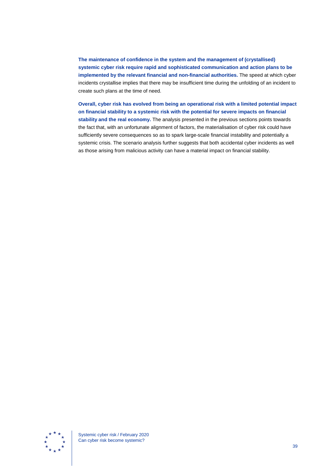**The maintenance of confidence in the system and the management of (crystallised) systemic cyber risk require rapid and sophisticated communication and action plans to be implemented by the relevant financial and non-financial authorities.** The speed at which cyber incidents crystallise implies that there may be insufficient time during the unfolding of an incident to create such plans at the time of need.

**Overall, cyber risk has evolved from being an operational risk with a limited potential impact on financial stability to a systemic risk with the potential for severe impacts on financial stability and the real economy.** The analysis presented in the previous sections points towards the fact that, with an unfortunate alignment of factors, the materialisation of cyber risk could have sufficiently severe consequences so as to spark large-scale financial instability and potentially a systemic crisis. The scenario analysis further suggests that both accidental cyber incidents as well as those arising from malicious activity can have a material impact on financial stability.

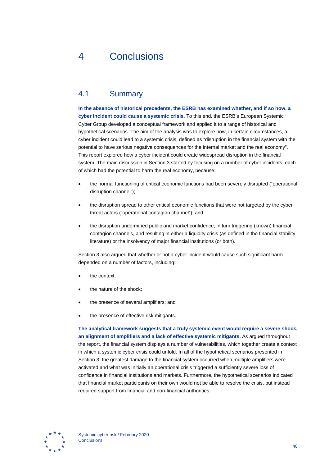## <span id="page-40-0"></span>4 Conclusions

### <span id="page-40-1"></span>4.1 Summary

**In the absence of historical precedents, the ESRB has examined whether, and if so how, a cyber incident could cause a systemic crisis.** To this end, the ESRB's European Systemic Cyber Group developed a conceptual framework and applied it to a range of historical and hypothetical scenarios. The aim of the analysis was to explore how, in certain circumstances, a cyber incident could lead to a systemic crisis, defined as "disruption in the financial system with the potential to have serious negative consequences for the internal market and the real economy". This report explored how a cyber incident could create widespread disruption in the financial system. The main discussion in Section 3 started by focusing on a number of cyber incidents, each of which had the potential to harm the real economy, because:

- the normal functioning of critical economic functions had been severely disrupted ("operational disruption channel");
- the disruption spread to other critical economic functions that were not targeted by the cyber threat actors ("operational contagion channel"); and
- the disruption undermined public and market confidence, in turn triggering (known) financial contagion channels, and resulting in either a liquidity crisis (as defined in the financial stability literature) or the insolvency of major financial institutions (or both).

Section 3 also argued that whether or not a cyber incident would cause such significant harm depended on a number of factors, including:

- the context:
- the nature of the shock:
- the presence of several amplifiers; and
- the presence of effective risk mitigants.

**The analytical framework suggests that a truly systemic event would require a severe shock, an alignment of amplifiers and a lack of effective systemic mitigants.** As argued throughout the report, the financial system displays a number of vulnerabilities, which together create a context in which a systemic cyber crisis could unfold. In all of the hypothetical scenarios presented in Section 3, the greatest damage to the financial system occurred when multiple amplifiers were activated and what was initially an operational crisis triggered a sufficiently severe loss of confidence in financial institutions and markets. Furthermore, the hypothetical scenarios indicated that financial market participants on their own would not be able to resolve the crisis, but instead required support from financial and non-financial authorities.

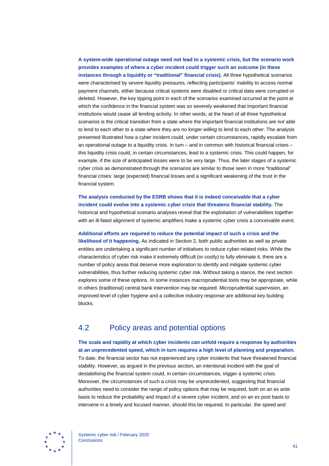#### **A system-wide operational outage need not lead to a systemic crisis, but the scenario work provides examples of where a cyber incident could trigger such an outcome (in these instances through a liquidity or "traditional" financial crisis).** All three hypothetical scenarios were characterised by severe liquidity pressures, reflecting participants' inability to access normal payment channels, either because critical systems were disabled or critical data were corrupted or deleted. However, the key tipping point in each of the scenarios examined occurred at the point at which the confidence in the financial system was so severely weakened that important financial institutions would cease all lending activity. In other words, at the heart of all three hypothetical scenarios is the critical transition from a state where the important financial institutions *are not able*  to lend to each other to a state where they *are no longer willing* to lend to each other. The analysis presented illustrated how a cyber incident could, under certain circumstances, rapidly escalate from an operational outage to a liquidity crisis. In turn – and in common with historical financial crises – this liquidity crisis could, in certain circumstances, lead to a systemic crisis. This could happen, for example, if the size of anticipated losses were to be very large. Thus, the later stages of a systemic cyber crisis as demonstrated through the scenarios are similar to those seen in more "traditional" financial crises: large (expected) financial losses and a significant weakening of the trust in the financial system.

**The analysis conducted by the ESRB shows that it is indeed conceivable that a cyber incident could evolve into a systemic cyber crisis that threatens financial stability.** The historical and hypothetical scenario analyses reveal that the exploitation of vulnerabilities together with an ill-fated alignment of systemic amplifiers make a systemic cyber crisis a conceivable event.

**Additional efforts are required to reduce the potential impact of such a crisis and the likelihood of it happening.** As indicated in Section 2, both public authorities as well as private entities are undertaking a significant number of initiatives to reduce cyber-related risks. While the characteristics of cyber risk make it extremely difficult (or costly) to fully eliminate it, there are a number of policy areas that deserve more exploration to identify and mitigate systemic cyber vulnerabilities, thus further reducing systemic cyber risk. Without taking a stance, the next section explores some of these options. In some instances macroprudential tools may be appropriate, while in others (traditional) central bank intervention may be required. Microprudential supervision, an improved level of cyber hygiene and a collective industry response are additional key building blocks.

## <span id="page-41-0"></span>4.2 Policy areas and potential options

**The scale and rapidity at which cyber incidents can unfold require a response by authorities at an unprecedented speed, which in turn requires a high level of planning and preparation.** To date, the financial sector has not experienced any cyber incidents that have threatened financial stability. However, as argued in the previous section, an intentional incident with the goal of destabilising the financial system could, in certain circumstances, trigger a systemic crisis. Moreover, the circumstances of such a crisis may be unprecedented, suggesting that financial authorities need to consider the range of policy options that may be required, both on an ex ante basis to reduce the probability and impact of a severe cyber incident, and on an ex post basis to intervene in a timely and focused manner, should this be required. In particular, the speed and

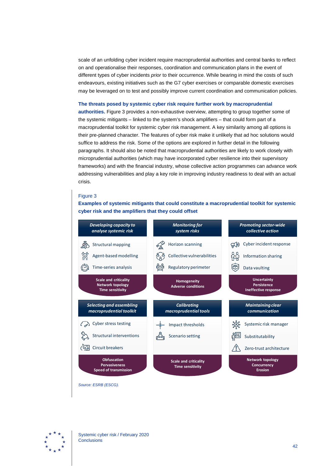scale of an unfolding cyber incident require macroprudential authorities and central banks to reflect on and operationalise their responses, coordination and communication plans in the event of different types of cyber incidents *prior* to their occurrence. While bearing in mind the costs of such endeavours, existing initiatives such as the G7 cyber exercises or comparable domestic exercises may be leveraged on to test and possibly improve current coordination and communication policies.

#### **The threats posed by systemic cyber risk require further work by macroprudential**

**authorities.** Figure 3 provides a non-exhaustive overview, attempting to group together some of the systemic mitigants – linked to the system's shock amplifiers – that could form part of a macroprudential toolkit for systemic cyber risk management. A key similarity among all options is their pre-planned character. The features of cyber risk make it unlikely that ad hoc solutions would suffice to address the risk. Some of the options are explored in further detail in the following paragraphs. It should also be noted that macroprudential authorities are likely to work closely with microprudential authorities (which may have incorporated cyber resilience into their supervisory frameworks) and with the financial industry, whose collective action programmes can advance work addressing vulnerabilities and play a key role in improving industry readiness to deal with an actual crisis.

#### Figure 3

**Examples of systemic mitigants that could constitute a macroprudential toolkit for systemic cyber risk and the amplifiers that they could offset**



*Source: ESRB (ESCG).*

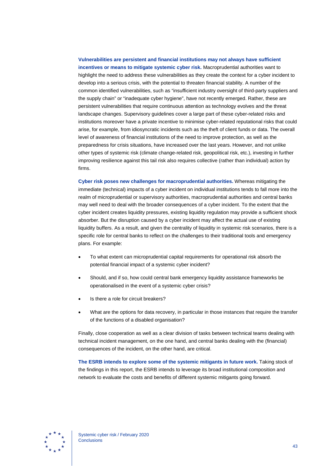#### **Vulnerabilities are persistent and financial institutions may not always have sufficient incentives or means to mitigate systemic cyber risk.** Macroprudential authorities want to highlight the need to address these vulnerabilities as they create the context for a cyber incident to develop into a serious crisis, with the potential to threaten financial stability. A number of the common identified vulnerabilities, such as "insufficient industry oversight of third-party suppliers and the supply chain" or "inadequate cyber hygiene", have not recently emerged. Rather, these are persistent vulnerabilities that require continuous attention as technology evolves and the threat landscape changes. Supervisory guidelines cover a large part of these cyber-related risks and institutions moreover have a private incentive to minimise cyber-related reputational risks that could arise, for example, from idiosyncratic incidents such as the theft of client funds or data. The overall level of awareness of financial institutions of the need to improve protection, as well as the preparedness for crisis situations, have increased over the last years. However, and not unlike

other types of systemic risk (climate change-related risk, geopolitical risk, etc.), investing in further improving resilience against this tail risk also requires collective (rather than individual) action by firms.

**Cyber risk poses new challenges for macroprudential authorities.** Whereas mitigating the immediate (technical) impacts of a cyber incident on individual institutions tends to fall more into the realm of microprudential or supervisory authorities, macroprudential authorities and central banks may well need to deal with the broader consequences of a cyber incident. To the extent that the cyber incident creates liquidity pressures, existing liquidity regulation may provide a sufficient shock absorber. But the disruption caused by a cyber incident may affect the actual use of existing liquidity buffers. As a result, and given the centrality of liquidity in systemic risk scenarios, there is a specific role for central banks to reflect on the challenges to their traditional tools and emergency plans. For example:

- To what extent can microprudential capital requirements for operational risk absorb the potential financial impact of a systemic cyber incident?
- Should, and if so, how could central bank emergency liquidity assistance frameworks be operationalised in the event of a systemic cyber crisis?
- Is there a role for circuit breakers?
- What are the options for data recovery, in particular in those instances that require the transfer of the functions of a disabled organisation?

Finally, close cooperation as well as a clear division of tasks between technical teams dealing with technical incident management, on the one hand, and central banks dealing with the (financial) consequences of the incident, on the other hand, are critical.

<span id="page-43-0"></span>**The ESRB intends to explore some of the systemic mitigants in future work.** Taking stock of the findings in this report, the ESRB intends to leverage its broad institutional composition and network to evaluate the costs and benefits of different systemic mitigants going forward.

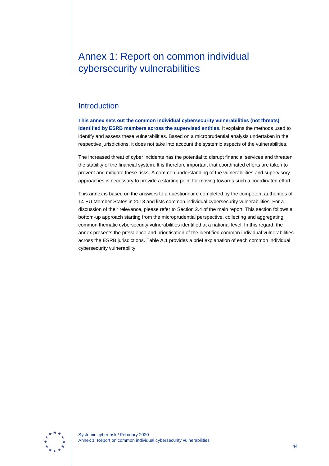## Annex 1: Report on common individual cybersecurity vulnerabilities

### <span id="page-44-0"></span>**Introduction**

**This annex sets out the common individual cybersecurity vulnerabilities (not threats) identified by ESRB members across the supervised entities.** It explains the methods used to identify and assess these vulnerabilities. Based on a microprudential analysis undertaken in the respective jurisdictions, it does not take into account the systemic aspects of the vulnerabilities.

The increased threat of cyber incidents has the potential to disrupt financial services and threaten the stability of the financial system. It is therefore important that coordinated efforts are taken to prevent and mitigate these risks. A common understanding of the vulnerabilities and supervisory approaches is necessary to provide a starting point for moving towards such a coordinated effort.

This annex is based on the answers to a questionnaire completed by the competent authorities of 14 EU Member States in 2018 and lists common individual cybersecurity vulnerabilities. For a discussion of their relevance, please refer to Section 2.4 of the main report. This section follows a bottom-up approach starting from the microprudential perspective, collecting and aggregating common thematic cybersecurity vulnerabilities identified at a national level. In this regard, the annex presents the prevalence and prioritisation of the identified common individual vulnerabilities across the ESRB jurisdictions. Table A.1 provides a brief explanation of each common individual cybersecurity vulnerability.

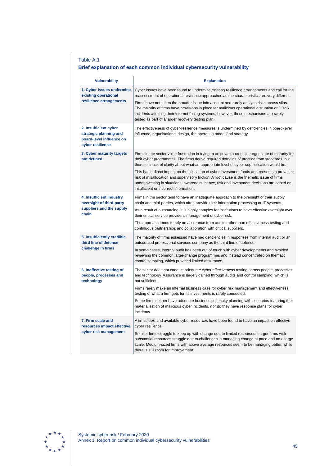### Table A.1

### **Brief explanation of each common individual cybersecurity vulnerability**

| <b>Vulnerability</b>                                                                            | <b>Explanation</b>                                                                                                                                                                                                                                                                                                                                                                                                                                                                                                                                                                                                                         |
|-------------------------------------------------------------------------------------------------|--------------------------------------------------------------------------------------------------------------------------------------------------------------------------------------------------------------------------------------------------------------------------------------------------------------------------------------------------------------------------------------------------------------------------------------------------------------------------------------------------------------------------------------------------------------------------------------------------------------------------------------------|
| 1. Cyber issues undermine<br>existing operational                                               | Cyber issues have been found to undermine existing resilience arrangements and call for the<br>reassessment of operational resilience approaches as the characteristics are very different.                                                                                                                                                                                                                                                                                                                                                                                                                                                |
| resilience arrangements                                                                         | Firms have not taken the broader issue into account and rarely analyse risks across silos.<br>The majority of firms have provisions in place for malicious operational disruption or DDoS<br>incidents affecting their internet-facing systems; however, these mechanisms are rarely<br>tested as part of a larger recovery testing plan.                                                                                                                                                                                                                                                                                                  |
| 2. Insufficient cyber<br>strategic planning and<br>board-level influence on<br>cyber resilience | The effectiveness of cyber-resilience measures is undermined by deficiencies in board-level<br>influence, organisational design, the operating model and strategy.                                                                                                                                                                                                                                                                                                                                                                                                                                                                         |
| 3. Cyber maturity targets<br>not defined                                                        | Firms in the sector voice frustration in trying to articulate a credible target state of maturity for<br>their cyber programmes. The firms derive required domains of practice from standards, but<br>there is a lack of clarity about what an appropriate level of cyber sophistication would be.<br>This has a direct impact on the allocation of cyber investment funds and presents a prevalent<br>risk of misallocation and supervisory friction. A root cause is the thematic issue of firms<br>underinvesting in situational awareness; hence, risk and investment decisions are based on<br>insufficient or incorrect information. |
| 4. Insufficient industry<br>oversight of third-party<br>suppliers and the supply<br>chain       | Firms in the sector tend to have an inadequate approach to the oversight of their supply<br>chain and third parties, which often provide their information processing or IT systems.<br>As a result of outsourcing, it is highly complex for institutions to have effective oversight over<br>their critical service providers' management of cyber risk.<br>The approach tends to rely on assurance from audits rather than effectiveness testing and<br>continuous partnerships and collaboration with critical suppliers.                                                                                                               |
| 5. Insufficiently credible<br>third line of defence<br>challenge in firms                       | The majority of firms assessed have had deficiencies in responses from internal audit or an<br>outsourced professional services company as the third line of defence.<br>In some cases, internal audit has been out of touch with cyber developments and avoided<br>reviewing the common large-change programmes and instead concentrated on thematic<br>control sampling, which provided limited assurance.                                                                                                                                                                                                                               |
| 6. Ineffective testing of<br>people, processes and<br>technology                                | The sector does not conduct adequate cyber effectiveness testing across people, processes<br>and technology. Assurance is largely gained through audits and control sampling, which is<br>not sufficient.<br>Firms rarely make an internal business case for cyber risk management and effectiveness<br>testing of what a firm gets for its investments is rarely conducted.<br>Some firms neither have adequate business continuity planning with scenarios featuring the<br>materialisation of malicious cyber incidents, nor do they have response plans for cyber<br>incidents.                                                        |
| 7. Firm scale and<br>resources impact effective<br>cyber risk management                        | A firm's size and available cyber resources have been found to have an impact on effective<br>cyber resilience.<br>Smaller firms struggle to keep up with change due to limited resources. Larger firms with<br>substantial resources struggle due to challenges in managing change at pace and on a large<br>scale. Medium-sized firms with above average resources seem to be managing better, while<br>there is still room for improvement.                                                                                                                                                                                             |

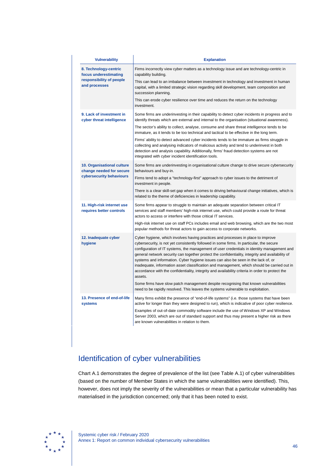| <b>Vulnerability</b>                                   | <b>Explanation</b>                                                                                                                                                                                                                                                                                                                                                                                                                                                                                                                                                                                                                                                                |  |  |
|--------------------------------------------------------|-----------------------------------------------------------------------------------------------------------------------------------------------------------------------------------------------------------------------------------------------------------------------------------------------------------------------------------------------------------------------------------------------------------------------------------------------------------------------------------------------------------------------------------------------------------------------------------------------------------------------------------------------------------------------------------|--|--|
| 8. Technology-centric<br>focus underestimating         | Firms incorrectly view cyber matters as a technology issue and are technology-centric in<br>capability building.                                                                                                                                                                                                                                                                                                                                                                                                                                                                                                                                                                  |  |  |
| responsibility of people<br>and processes              | This can lead to an imbalance between investment in technology and investment in human<br>capital, with a limited strategic vision regarding skill development, team composition and<br>succession planning.                                                                                                                                                                                                                                                                                                                                                                                                                                                                      |  |  |
|                                                        | This can erode cyber resilience over time and reduces the return on the technology<br>investment.                                                                                                                                                                                                                                                                                                                                                                                                                                                                                                                                                                                 |  |  |
| 9. Lack of investment in<br>cyber threat intelligence  | Some firms are underinvesting in their capability to detect cyber incidents in progress and to<br>identify threats which are external and internal to the organisation (situational awareness).                                                                                                                                                                                                                                                                                                                                                                                                                                                                                   |  |  |
|                                                        | The sector's ability to collect, analyse, consume and share threat intelligence tends to be<br>immature, as it tends to be too technical and tactical to be effective in the long term.                                                                                                                                                                                                                                                                                                                                                                                                                                                                                           |  |  |
|                                                        | Firms' ability to detect advanced cyber incidents tends to be immature as firms struggle in<br>collecting and analysing indicators of malicious activity and tend to underinvest in both<br>detection and analysis capability. Additionally, firms' fraud detection systems are not<br>integrated with cyber incident identification tools.                                                                                                                                                                                                                                                                                                                                       |  |  |
| 10. Organisational culture<br>change needed for secure | Some firms are underinvesting in organisational culture change to drive secure cybersecurity<br>behaviours and buy-in.                                                                                                                                                                                                                                                                                                                                                                                                                                                                                                                                                            |  |  |
| cybersecurity behaviours                               | Firms tend to adopt a "technology-first" approach to cyber issues to the detriment of<br>investment in people.                                                                                                                                                                                                                                                                                                                                                                                                                                                                                                                                                                    |  |  |
|                                                        | There is a clear skill-set gap when it comes to driving behavioural change initiatives, which is<br>related to the theme of deficiencies in leadership capability.                                                                                                                                                                                                                                                                                                                                                                                                                                                                                                                |  |  |
| 11. High-risk internet use<br>requires better controls | Some firms appear to struggle to maintain an adequate separation between critical IT<br>services and staff members' high-risk internet use, which could provide a route for threat<br>actors to access or interfere with those critical IT services.                                                                                                                                                                                                                                                                                                                                                                                                                              |  |  |
|                                                        | High-risk internet use on staff PCs includes email and web browsing, which are the two most<br>popular methods for threat actors to gain access to corporate networks.                                                                                                                                                                                                                                                                                                                                                                                                                                                                                                            |  |  |
| 12. Inadequate cyber<br>hygiene                        | Cyber hygiene, which involves having practices and processes in place to improve<br>cybersecurity, is not yet consistently followed in some firms. In particular, the secure<br>configuration of IT systems, the management of user credentials in identity management and<br>general network security can together protect the confidentiality, integrity and availability of<br>systems and information. Cyber hygiene issues can also be seen in the lack of, or<br>inadequate, information asset classification and management, which should be carried out in<br>accordance with the confidentiality, integrity and availability criteria in order to protect the<br>assets. |  |  |
|                                                        | Some firms have slow patch management despite recognising that known vulnerabilities<br>need to be rapidly resolved. This leaves the systems vulnerable to exploitation.                                                                                                                                                                                                                                                                                                                                                                                                                                                                                                          |  |  |
| 13. Presence of end-of-life<br>systems                 | Many firms exhibit the presence of "end-of-life systems" (i.e. those systems that have been<br>active for longer than they were designed to run), which is indicative of poor cyber resilience.<br>Examples of out-of-date commodity software include the use of Windows XP and Windows<br>Server 2003, which are out of standard support and thus may present a higher risk as there<br>are known vulnerabilities in relation to them.                                                                                                                                                                                                                                           |  |  |

## <span id="page-46-0"></span>Identification of cyber vulnerabilities

Chart A.1 demonstrates the degree of prevalence of the list (see Table A.1) of cyber vulnerabilities (based on the number of Member States in which the same vulnerabilities were identified). This, however, does not imply the severity of the vulnerabilities or mean that a particular vulnerability has materialised in the jurisdiction concerned; only that it has been noted to exist.

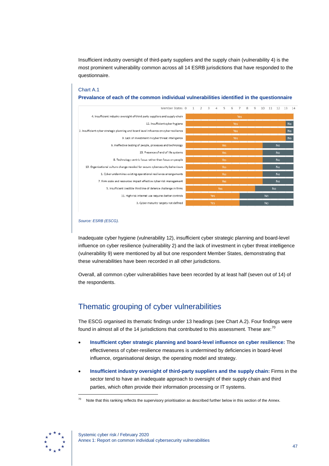Insufficient industry oversight of third-party suppliers and the supply chain (vulnerability 4) is the most prominent vulnerability common across all 14 ESRB jurisdictions that have responded to the questionnaire.

## Chart A.1

**Prevalance of each of the common individual vulnerabilities identified in the questionnaire**



#### *Source: ESRB (ESCG).*

Inadequate cyber hygiene (vulnerability 12), insufficient cyber strategic planning and board-level influence on cyber resilience (vulnerability 2) and the lack of investment in cyber threat intelligence (vulnerability 9) were mentioned by all but one respondent Member States, demonstrating that these vulnerabilities have been recorded in all other jurisdictions.

Overall, all common cyber vulnerabilities have been recorded by at least half (seven out of 14) of the respondents.

## <span id="page-47-0"></span>Thematic grouping of cyber vulnerabilities

The ESCG organised its thematic findings under 13 headings (see Chart A.2). Four findings were found in almost all of the 14 jurisdictions that contributed to this assessment. These are: $^{70}$  $^{70}$  $^{70}$ 

- **Insufficient cyber strategic planning and board-level influence on cyber resilience:** The effectiveness of cyber-resilience measures is undermined by deficiencies in board-level influence, organisational design, the operating model and strategy.
- **Insufficient industry oversight of third-party suppliers and the supply chain:** Firms in the sector tend to have an inadequate approach to oversight of their supply chain and third parties, which often provide their information processing or IT systems.

<span id="page-47-1"></span>

Note that this ranking reflects the supervisory prioritisation as described further below in this section of the Annex.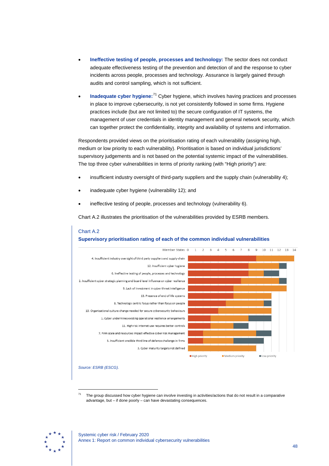- **Ineffective testing of people, processes and technology:** The sector does not conduct adequate effectiveness testing of the prevention and detection of and the response to cyber incidents across people, processes and technology. Assurance is largely gained through audits and control sampling, which is not sufficient.
- **Inadequate cyber hygiene:**[71](#page-48-0) Cyber hygiene, which involves having practices and processes in place to improve cybersecurity, is not yet consistently followed in some firms. Hygiene practices include (but are not limited to) the secure configuration of IT systems, the management of user credentials in identity management and general network security, which can together protect the confidentiality, integrity and availability of systems and information.

Respondents provided views on the prioritisation rating of each vulnerability (assigning high, medium or low priority to each vulnerability). Prioritisation is based on individual jurisdictions' supervisory judgements and is not based on the potential systemic impact of the vulnerabilities. The top three cyber vulnerabilities in terms of priority ranking (with "High priority") are:

- insufficient industry oversight of third-party suppliers and the supply chain (vulnerability 4);
- inadequate cyber hygiene (vulnerability 12); and
- ineffective testing of people, processes and technology (vulnerability 6).

Chart A.2 illustrates the prioritisation of the vulnerabilities provided by ESRB members.



#### Chart A.2 **Supervisory prioritisation rating of each of the common individual vulnerabilities**

*Source: ESRB (ESCG).*

-

 $71$  The group discussed how cyber hygiene can involve investing in activities/actions that do not result in a comparative advantage, but – if done poorly – can have devastating consequences.

<span id="page-48-0"></span>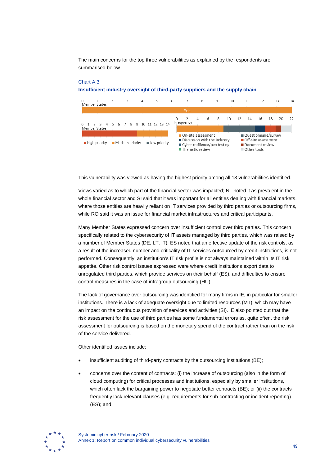The main concerns for the top three vulnerabilities as explained by the respondents are summarised below.

#### Chart A.3 **Insufficient industry oversight of third-party suppliers and the supply chain**



This vulnerability was viewed as having the highest priority among all 13 vulnerabilities identified.

Views varied as to which part of the financial sector was impacted; NL noted it as prevalent in the whole financial sector and SI said that it was important for all entities dealing with financial markets, where those entities are heavily reliant on IT services provided by third parties or outsourcing firms, while RO said it was an issue for financial market infrastructures and critical participants.

Many Member States expressed concern over insufficient control over third parties. This concern specifically related to the cybersecurity of IT assets managed by third parties, which was raised by a number of Member States (DE, LT, IT). ES noted that an effective update of the risk controls, as a result of the increased number and criticality of IT services outsourced by credit institutions, is not performed. Consequently, an institution's IT risk profile is not always maintained within its IT risk appetite. Other risk control issues expressed were where credit institutions export data to unregulated third parties, which provide services on their behalf (ES), and difficulties to ensure control measures in the case of intragroup outsourcing (HU).

The lack of governance over outsourcing was identified for many firms in IE, in particular for smaller institutions. There is a lack of adequate oversight due to limited resources (MT), which may have an impact on the continuous provision of services and activities (SI). IE also pointed out that the risk assessment for the use of third parties has some fundamental errors as, quite often, the risk assessment for outsourcing is based on the monetary spend of the contract rather than on the risk of the service delivered.

Other identified issues include:

- insufficient auditing of third-party contracts by the outsourcing institutions (BE);
- concerns over the content of contracts: (i) the increase of outsourcing (also in the form of cloud computing) for critical processes and institutions, especially by smaller institutions, which often lack the bargaining power to negotiate better contracts (BE); or (ii) the contracts frequently lack relevant clauses (e.g. requirements for sub-contracting or incident reporting) (ES); and

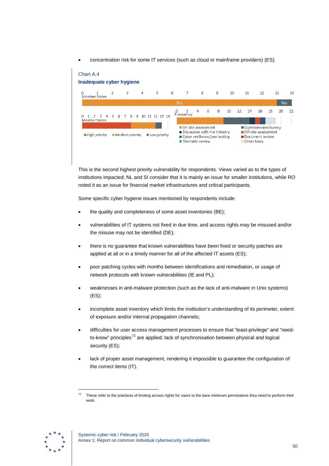• concentration risk for some IT services (such as cloud or mainframe providers) (ES).

#### Chart A.4 **Inadequate cyber hygiene** 5  $\overline{7}$ 8  $10$  $11$  $12$  $13$ 14  $\overline{a}$ 6  $\overline{q}$ ں<br>Member States **No** 0 2<br>Frequency  $\overline{4}$ 6 8 10  $12$ 14 16 18  $20$  $\overline{\mathcal{D}}$  $\mathbf{0}$ 1  $\overline{2}$  $\mathbf{3}$  $\overline{4}$  $5^{\circ}$ 6  $\overline{7}$ 8 9 10 11 12 13 14 Member States Questionnaire/survey On-site assessment Discussion with the industry Off-site assessment High priority Medium priority Low priority ■ Cyber resilience/pen testing Document review ■ Thematic review Other tools

This is the second highest priority vulnerability for respondents. Views varied as to the types of institutions impacted; NL and SI consider that it is mainly an issue for smaller institutions, while RO noted it as an issue for financial market infrastructures and critical participants.

Some specific cyber hygiene issues mentioned by respondents include:

- the quality and completeness of some asset inventories (BE);
- vulnerabilities of IT systems not fixed in due time, and access rights may be misused and/or the misuse may not be identified (DE);
- there is no guarantee that known vulnerabilities have been fixed or security patches are applied at all or in a timely manner for all of the affected IT assets (ES);
- poor patching cycles with months between identifications and remediation, or usage of network protocols with known vulnerabilities (IE and PL);
- weaknesses in anti-malware protection (such as the lack of anti-malware in Unix systems) (ES);
- incomplete asset inventory which limits the institution's understanding of its perimeter, extent of exposure and/or internal propagation channels;
- difficulties for user access management processes to ensure that "least-privilege" and "need-to-know" principles<sup>[72](#page-50-0)</sup> are applied; lack of synchronisation between physical and logical security (ES);
- lack of proper asset management, rendering it impossible to guarantee the configuration of the correct items (IT).

<span id="page-50-0"></span>

 $72$  These refer to the practices of limiting access rights for users to the bare minimum permissions they need to perform their work.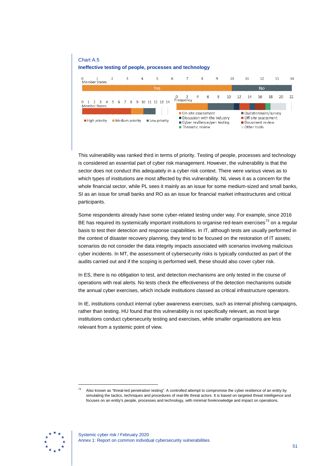

This vulnerability was ranked third in terms of priority. Testing of people, processes and technology is considered an essential part of cyber risk management. However, the vulnerability is that the sector does not conduct this adequately in a cyber risk context. There were various views as to which types of institutions are most affected by this vulnerability. NL views it as a concern for the whole financial sector, while PL sees it mainly as an issue for some medium-sized and small banks, SI as an issue for small banks and RO as an issue for financial market infrastructures and critical participants.

Some respondents already have some cyber-related testing under way. For example, since 2016 BE has required its systemically important institutions to organise red-team exercises<sup>[73](#page-51-0)</sup> on a regular basis to test their detection and response capabilities. In IT, although tests are usually performed in the context of disaster recovery planning, they tend to be focused on the restoration of IT assets; scenarios do not consider the data integrity impacts associated with scenarios involving malicious cyber incidents. In MT, the assessment of cybersecurity risks is typically conducted as part of the audits carried out and if the scoping is performed well, these should also cover cyber risk.

In ES, there is no obligation to test, and detection mechanisms are only tested in the course of operations with real alerts. No tests check the effectiveness of the detection mechanisms outside the annual cyber exercises, which include institutions classed as critical infrastructure operators.

In IE, institutions conduct internal cyber awareness exercises, such as internal phishing campaigns, rather than testing. HU found that this vulnerability is not specifically relevant, as most large institutions conduct cybersecurity testing and exercises, while smaller organisations are less relevant from a systemic point of view.

<span id="page-51-0"></span>

<sup>73</sup> Also known as "threat-led penetration testing". A controlled attempt to compromise the cyber resilience of an entity by simulating the tactics, techniques and procedures of real-life threat actors. It is based on targeted threat intelligence and focuses on an entity's people, processes and technology, with minimal foreknowledge and impact on operations.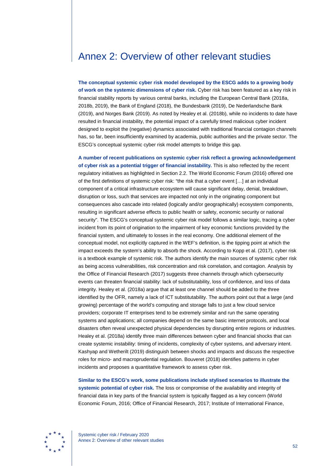## <span id="page-52-0"></span>Annex 2: Overview of other relevant studies

**The conceptual systemic cyber risk model developed by the ESCG adds to a growing body of work on the systemic dimensions of cyber risk.** Cyber risk has been featured as a key risk in financial stability reports by various central banks, including the European Central Bank (2018a, 2018b, 2019), the Bank of England (2018), the Bundesbank (2019), De Nederlandsche Bank (2019), and Norges Bank (2019). As noted by Healey et al. (2018b), while no incidents to date have resulted in financial instability, the potential impact of a carefully timed malicious cyber incident designed to exploit the (negative) dynamics associated with traditional financial contagion channels has, so far, been insufficiently examined by academia, public authorities and the private sector. The ESCG's conceptual systemic cyber risk model attempts to bridge this gap.

**A number of recent publications on systemic cyber risk reflect a growing acknowledgement of cyber risk as a potential trigger of financial instability.** This is also reflected by the recent regulatory initiatives as highlighted in Section 2.2. The World Economic Forum (2016) offered one of the first definitions of systemic cyber risk: "the risk that a cyber event […] at an individual component of a critical infrastructure ecosystem will cause significant delay, denial, breakdown, disruption or loss, such that services are impacted not only in the originating component but consequences also cascade into related (logically and/or geographically) ecosystem components, resulting in significant adverse effects to public health or safety, economic security or national security". The ESCG's conceptual systemic cyber risk model follows a similar logic, tracing a cyber incident from its point of origination to the impairment of key economic functions provided by the financial system, and ultimately to losses in the real economy. One additional element of the conceptual model, not explicitly captured in the WEF's definition, is the tipping point at which the impact exceeds the system's ability to absorb the shock. According to Kopp et al. (2017), cyber risk is a textbook example of systemic risk. The authors identify the main sources of systemic cyber risk as being access vulnerabilities, risk concentration and risk correlation, and contagion. Analysis by the Office of Financial Research (2017) suggests three channels through which cybersecurity events can threaten financial stability: lack of substitutability, loss of confidence, and loss of data integrity. Healey et al. (2018a) argue that at least one channel should be added to the three identified by the OFR, namely a lack of ICT substitutability. The authors point out that a large (and growing) percentage of the world's computing and storage falls to just a few cloud service providers; corporate IT enterprises tend to be extremely similar and run the same operating systems and applications; all companies depend on the same basic internet protocols, and local disasters often reveal unexpected physical dependencies by disrupting entire regions or industries. Healey et al. (2018a) identify three main differences between cyber and financial shocks that can create systemic instability: timing of incidents, complexity of cyber systems, and adversary intent. Kashyap and Wetherilt (2019) distinguish between shocks and impacts and discuss the respective roles for micro- and macroprudential regulation. Bouveret (2018) identifies patterns in cyber incidents and proposes a quantitative framework to assess cyber risk.

**Similar to the ESCG's work, some publications include stylised scenarios to illustrate the systemic potential of cyber risk.** The loss or compromise of the availability and integrity of financial data in key parts of the financial system is typically flagged as a key concern (World Economic Forum, 2016; Office of Financial Research, 2017; Institute of International Finance,



Systemic cyber risk / February 2020 Annex 2: Overview of other relevant studies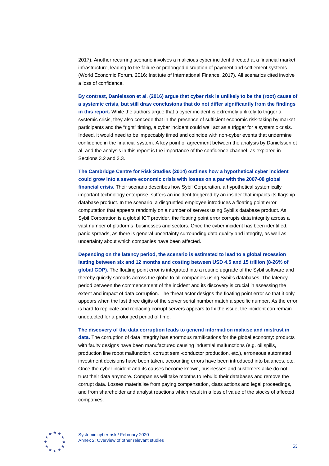2017). Another recurring scenario involves a malicious cyber incident directed at a financial market infrastructure, leading to the failure or prolonged disruption of payment and settlement systems (World Economic Forum, 2016; Institute of International Finance, 2017). All scenarios cited involve a loss of confidence.

**By contrast, Danielsson et al. (2016) argue that cyber risk is unlikely to be the (root) cause of a systemic crisis, but still draw conclusions that do not differ significantly from the findings in this report.** While the authors argue that a cyber incident is extremely unlikely to trigger a systemic crisis, they also concede that in the presence of sufficient economic risk-taking by market participants and the "right" timing, a cyber incident could well act as a trigger for a systemic crisis. Indeed, it would need to be impeccably timed and coincide with non-cyber events that undermine confidence in the financial system. A key point of agreement between the analysis by Danielsson et al. and the analysis in this report is the importance of the confidence channel, as explored in Sections 3.2 and 3.3.

#### **The Cambridge Centre for Risk Studies (2014) outlines how a hypothetical cyber incident could grow into a severe economic crisis with losses on a par with the 2007-08 global**

**financial crisis.** Their scenario describes how Sybil Corporation, a hypothetical systemically important technology enterprise, suffers an incident triggered by an insider that impacts its flagship database product. In the scenario, a disgruntled employee introduces a floating point error computation that appears randomly on a number of servers using Sybil's database product. As Sybil Corporation is a global ICT provider, the floating point error corrupts data integrity across a vast number of platforms, businesses and sectors. Once the cyber incident has been identified, panic spreads, as there is general uncertainty surrounding data quality and integrity, as well as uncertainty about which companies have been affected.

### **Depending on the latency period, the scenario is estimated to lead to a global recession lasting between six and 12 months and costing between USD 4.5 and 15 trillion (8-26% of**

**global GDP).** The floating point error is integrated into a routine upgrade of the Sybil software and thereby quickly spreads across the globe to all companies using Sybil's databases. The latency period between the commencement of the incident and its discovery is crucial in assessing the extent and impact of data corruption. The threat actor designs the floating point error so that it only appears when the last three digits of the server serial number match a specific number. As the error is hard to replicate and replacing corrupt servers appears to fix the issue, the incident can remain undetected for a prolonged period of time.

#### **The discovery of the data corruption leads to general information malaise and mistrust in**

**data.** The corruption of data integrity has enormous ramifications for the global economy: products with faulty designs have been manufactured causing industrial malfunctions (e.g. oil spills, production line robot malfunction, corrupt semi-conductor production, etc.), erroneous automated investment decisions have been taken, accounting errors have been introduced into balances, etc. Once the cyber incident and its causes become known, businesses and customers alike do not trust their data anymore. Companies will take months to rebuild their databases and remove the corrupt data. Losses materialise from paying compensation, class actions and legal proceedings, and from shareholder and analyst reactions which result in a loss of value of the stocks of affected companies.



Systemic cyber risk / February 2020 Annex 2: Overview of other relevant studies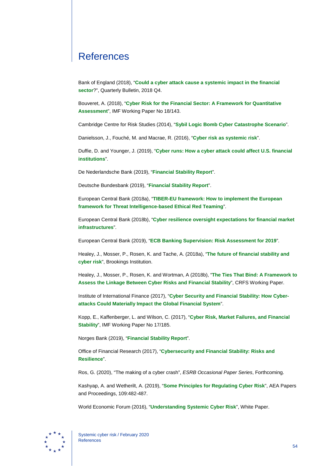## <span id="page-54-0"></span>**References**

Bank of England (2018), "**[Could a cyber attack cause a systemic impact](https://www.bankofengland.co.uk/-/media/boe/files/quarterly-bulletin/2018/could-a-cyber-attack-cause-a-systemic-impact-final-web.pdf) in the financial [sector](https://www.bankofengland.co.uk/-/media/boe/files/quarterly-bulletin/2018/could-a-cyber-attack-cause-a-systemic-impact-final-web.pdf)**?", Quarterly Bulletin, 2018 Q4.

Bouveret, A. (2018), "**[Cyber Risk for the Financial Sector: A Framework for Quantitative](https://www.imf.org/en/Publications/WP/Issues/2018/06/22/Cyber-Risk-for-the-Financial-Sector-A-Framework-for-Quantitative-Assessment-45924)  [Assessment](https://www.imf.org/en/Publications/WP/Issues/2018/06/22/Cyber-Risk-for-the-Financial-Sector-A-Framework-for-Quantitative-Assessment-45924)**", IMF Working Paper No 18/143.

Cambridge Centre for Risk Studies (2014), "**[Sybil Logic Bomb Cyber Catastrophe](https://www.jbs.cam.ac.uk/fileadmin/user_upload/research/centres/risk/downloads/crs-sybil-logic-bomb-cyber-catastrophe-stress-test.pdf) Scenario**".

Danielsson, J., Fouché, M. and Macrae, R. (2016), "**[Cyber risk as systemic risk](https://voxeu.org/article/cyber-risk-systemic-risk)**".

Duffie, D. and Younger, J. (2019), "**[Cyber runs: How a cyber attack could affect U.S. financial](https://www.brookings.edu/research/cyber-runs/)  [institutions](https://www.brookings.edu/research/cyber-runs/)**".

De Nederlandsche Bank (2019), "**[Financial Stability Report](https://www.dnb.nl/en/binaries/OFS-najaar2019_ENG_tcm47-385944.pdf)**".

Deutsche Bundesbank (2019), "**[Financial Stability Report](https://www.bundesbank.de/resource/blob/766586/f9d675a9f6a50562291589f7f3409f5a/mL/2018-finanzstabilitaetsbericht-data.pdf)**".

European Central Bank (2018a), "**[TIBER-EU framework: How to implement the European](https://www.ecb.europa.eu/pub/pdf/other/ecb.tiber_eu_framework.en.pdf)  [framework for Threat Intelligence-based Ethical Red Teaming](https://www.ecb.europa.eu/pub/pdf/other/ecb.tiber_eu_framework.en.pdf)**".

European Central Bank (2018b), "**[Cyber resilience oversight expectations for financial market](https://www.ecb.europa.eu/paym/pdf/cons/cyberresilience/Cyber_resilience_oversight_expectations_for_financial_market_infrastructures.pdf)  [infrastructures](https://www.ecb.europa.eu/paym/pdf/cons/cyberresilience/Cyber_resilience_oversight_expectations_for_financial_market_infrastructures.pdf)**".

European Central Bank (2019), "**[ECB Banking Supervision:](https://www.bankingsupervision.europa.eu/ecb/pub/pdf/ra/ssm.ra2019.en.pdf) Risk Assessment for 2019**".

Healey, J., Mosser, P., Rosen, K. and Tache, A. (2018a), "**[The future of financial stability and](https://www.brookings.edu/research/the-future-of-financial-stability-and-cyber-risk/)  [cyber risk](https://www.brookings.edu/research/the-future-of-financial-stability-and-cyber-risk/)**", Brookings Institution.

Healey, J., Mosser, P., Rosen, K. and Wortman, A (2018b), "**[The Ties That Bind:](https://sipa.columbia.edu/sites/default/files/CRFS%20Working%20Paper%20The%20Ties%20that%20Bind.pdf) A Framework to [Assess the Linkage Between Cyber Risks and Financial Stability](https://sipa.columbia.edu/sites/default/files/CRFS%20Working%20Paper%20The%20Ties%20that%20Bind.pdf)**", CRFS Working Paper.

Institute of International Finance (2017), "**[Cyber Security and Financial Stability: How Cyber](https://www.iif.com/Publications/ID/228/Cyber-Security-Financial-Stability-How-Cyber-attacks-Could-Materially-Impact-the-Global-Financial-System)[attacks Could Materially Impact the Global Financial System](https://www.iif.com/Publications/ID/228/Cyber-Security-Financial-Stability-How-Cyber-attacks-Could-Materially-Impact-the-Global-Financial-System)**".

Kopp, E., Kaffenberger, L. and Wilson, C. (2017), "**[Cyber Risk, Market Failures, and Financial](https://www.imf.org/en/Publications/WP/Issues/2017/08/07/Cyber-Risk-Market-Failures-and-Financial-Stability-45104)  [Stability](https://www.imf.org/en/Publications/WP/Issues/2017/08/07/Cyber-Risk-Market-Failures-and-Financial-Stability-45104)**", IMF Working Paper No 17/185.

Norges Bank (2019), "**[Financial Stability Report](https://static.norges-bank.no/contentassets/62ef0b6e18674ebe9f26fe10944e2512/fs_2019_eng.pdf)**".

Office of Financial Research (2017), "**[Cybersecurity and Financial Stability: Risks and](https://www.financialresearch.gov/viewpoint-papers/files/OFRvp_17-01_Cybersecurity.pdf)  [Resilience](https://www.financialresearch.gov/viewpoint-papers/files/OFRvp_17-01_Cybersecurity.pdf)**".

Ros, G. (2020), "The making of a cyber crash", *ESRB Occasional Paper Series*, Forthcoming.

Kashyap, A. and Wetherilt, A. (2019), "**[Some Principles for Regulating Cyber Risk](https://pubs.aeaweb.org/doi/pdf/10.1257/pandp.20191058)**", AEA Papers and Proceedings, 109:482-487.

World Economic Forum (2016), "**[Understanding Systemic Cyber Risk](http://www3.weforum.org/docs/White_Paper_GAC_Cyber_Resilience_VERSION_2.pdf)**", White Paper.



54